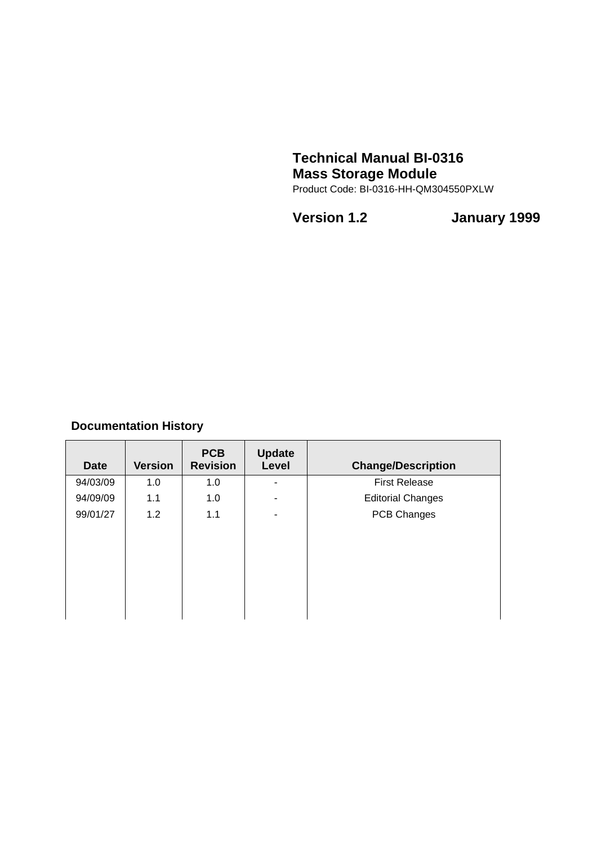# **Technical Manual BI-0316 Mass Storage Module**

Product Code: BI-0316-HH-QM304550PXLW

**Version 1.2 January 1999**

# **Documentation History**

| <b>Date</b> | <b>Version</b> | <b>PCB</b><br><b>Revision</b> | <b>Update</b><br>Level | <b>Change/Description</b> |
|-------------|----------------|-------------------------------|------------------------|---------------------------|
| 94/03/09    | 1.0            | 1.0                           | ۰                      | <b>First Release</b>      |
| 94/09/09    | 1.1            | 1.0                           | ۰                      | <b>Editorial Changes</b>  |
| 99/01/27    | 1.2            | 1.1                           | ۰                      | PCB Changes               |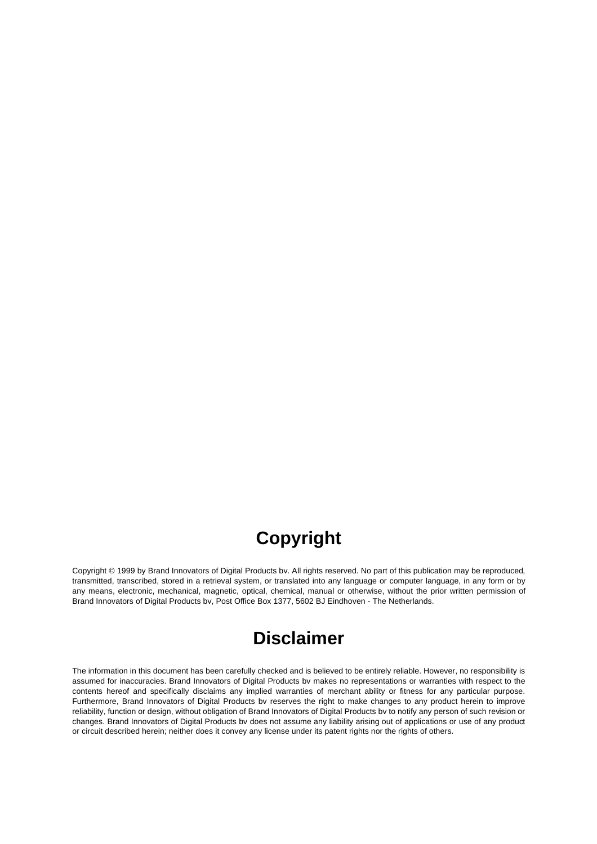# **Copyright**

Copyright © 1999 by Brand Innovators of Digital Products bv. All rights reserved. No part of this publication may be reproduced, transmitted, transcribed, stored in a retrieval system, or translated into any language or computer language, in any form or by any means, electronic, mechanical, magnetic, optical, chemical, manual or otherwise, without the prior written permission of Brand Innovators of Digital Products bv, Post Office Box 1377, 5602 BJ Eindhoven - The Netherlands.

# **Disclaimer**

The information in this document has been carefully checked and is believed to be entirely reliable. However, no responsibility is assumed for inaccuracies. Brand Innovators of Digital Products bv makes no representations or warranties with respect to the contents hereof and specifically disclaims any implied warranties of merchant ability or fitness for any particular purpose. Furthermore, Brand Innovators of Digital Products bv reserves the right to make changes to any product herein to improve reliability, function or design, without obligation of Brand Innovators of Digital Products bv to notify any person of such revision or changes. Brand Innovators of Digital Products bv does not assume any liability arising out of applications or use of any product or circuit described herein; neither does it convey any license under its patent rights nor the rights of others.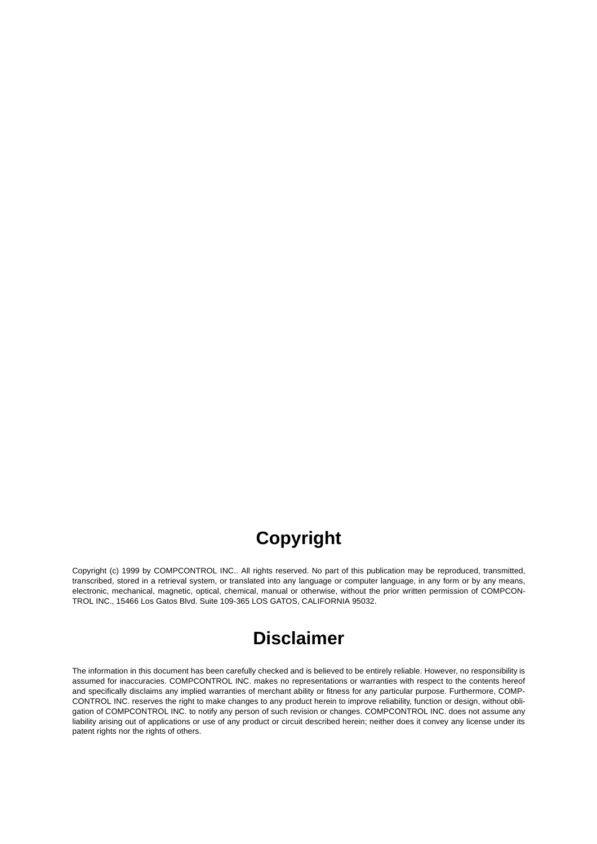# **Copyright**

Copyright (c) 1999 by COMPCONTROL INC.. All rights reserved. No part of this publication may be reproduced, transmitted, transcribed, stored in a retrieval system, or translated into any language or computer language, in any form or by any means, electronic, mechanical, magnetic, optical, chemical, manual or otherwise, without the prior written permission of COMPCON-TROL INC., 15466 Los Gatos Blvd. Suite 109-365 LOS GATOS, CALIFORNIA 95032.

# **Disclaimer**

The information in this document has been carefully checked and is believed to be entirely reliable. However, no responsibility is assumed for inaccuracies. COMPCONTROL INC. makes no representations or warranties with respect to the contents hereof and specifically disclaims any implied warranties of merchant ability or fitness for any particular purpose. Furthermore, COMP-CONTROL INC. reserves the right to make changes to any product herein to improve reliability, function or design, without obligation of COMPCONTROL INC. to notify any person of such revision or changes. COMPCONTROL INC. does not assume any liability arising out of applications or use of any product or circuit described herein; neither does it convey any license under its patent rights nor the rights of others.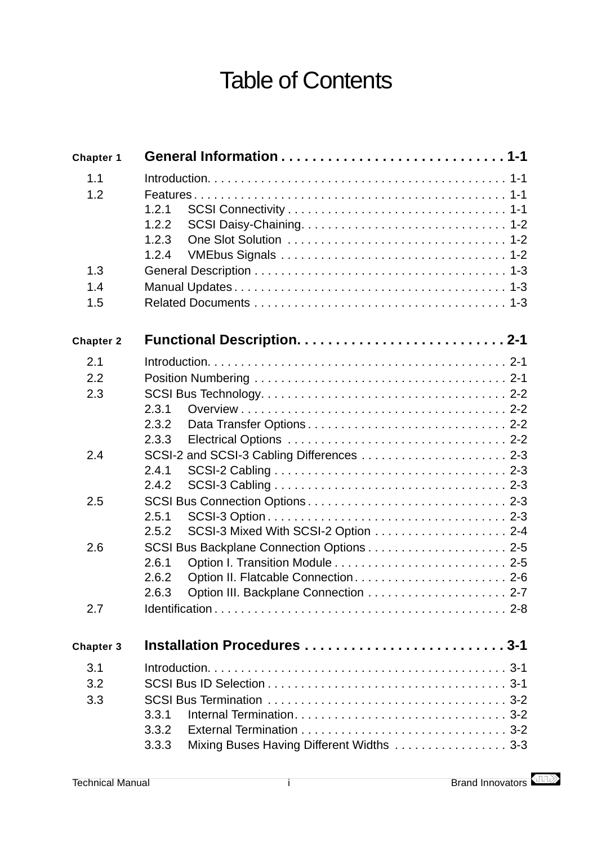# Table of Contents

| <b>Chapter 1</b> |                                                   |  |
|------------------|---------------------------------------------------|--|
| 1.1              |                                                   |  |
| 1.2              |                                                   |  |
|                  | 1.2.1                                             |  |
|                  | 1.2.2                                             |  |
|                  | 1.2.3                                             |  |
|                  | 1.2.4                                             |  |
| 1.3              |                                                   |  |
| 1.4              |                                                   |  |
| 1.5              |                                                   |  |
| <b>Chapter 2</b> |                                                   |  |
| 2.1              |                                                   |  |
| 2.2              |                                                   |  |
| 2.3              |                                                   |  |
|                  | 2.3.1                                             |  |
|                  | 2.3.2                                             |  |
|                  | 2.3.3                                             |  |
| 2.4              |                                                   |  |
|                  | 2.4.1                                             |  |
|                  | 2.4.2                                             |  |
| 2.5              | 2.5.1                                             |  |
|                  | 2.5.2                                             |  |
| 2.6              |                                                   |  |
|                  | 2.6.1                                             |  |
|                  | Option II. Flatcable Connection 2-6<br>2.6.2      |  |
|                  | 2.6.3                                             |  |
| 2.7              |                                                   |  |
| <b>Chapter 3</b> | Installation Procedures 3-1                       |  |
| 3.1              |                                                   |  |
| 3.2              |                                                   |  |
| 3.3              |                                                   |  |
|                  | 3.3.1                                             |  |
|                  | 3.3.2                                             |  |
|                  | Mixing Buses Having Different Widths 3-3<br>3.3.3 |  |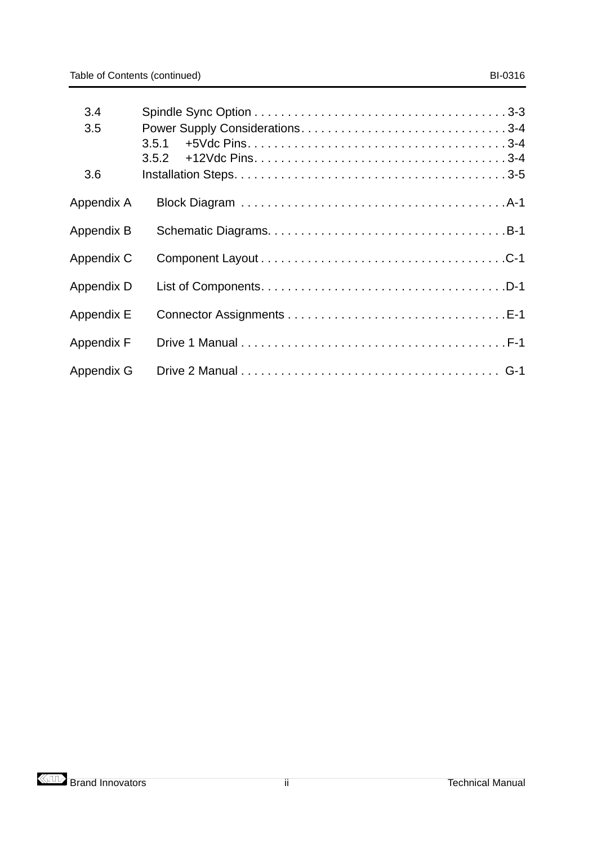| 3.4               |       |
|-------------------|-------|
| 3.5               | 3.5.1 |
| 3.6               |       |
| Appendix A        |       |
| <b>Appendix B</b> |       |
| Appendix C        |       |
| Appendix D        |       |
| <b>Appendix E</b> |       |
| <b>Appendix F</b> |       |
| Appendix G        |       |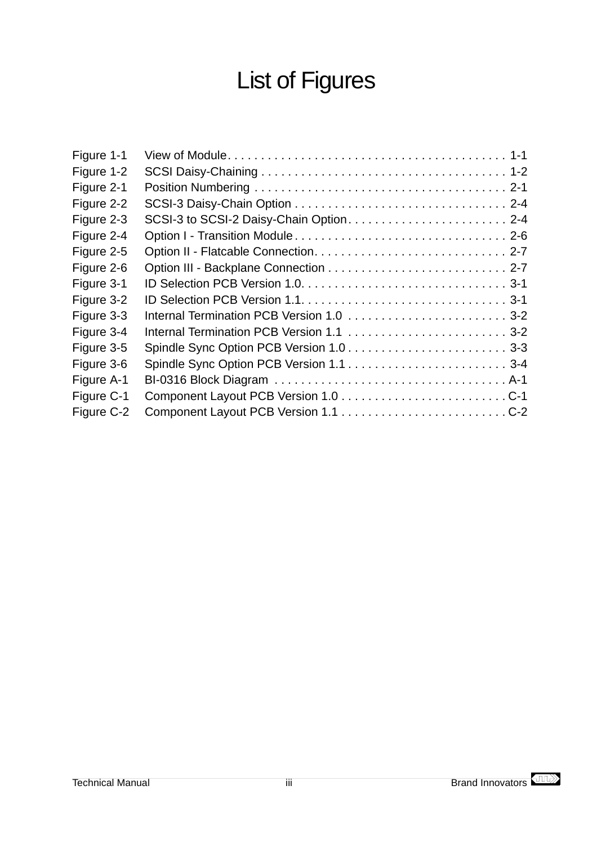# List of Figures

| SCSI-3 to SCSI-2 Daisy-Chain Option 2-4 |
|-----------------------------------------|
|                                         |
|                                         |
|                                         |
|                                         |
|                                         |
|                                         |
|                                         |
|                                         |
|                                         |
|                                         |
|                                         |
|                                         |
|                                         |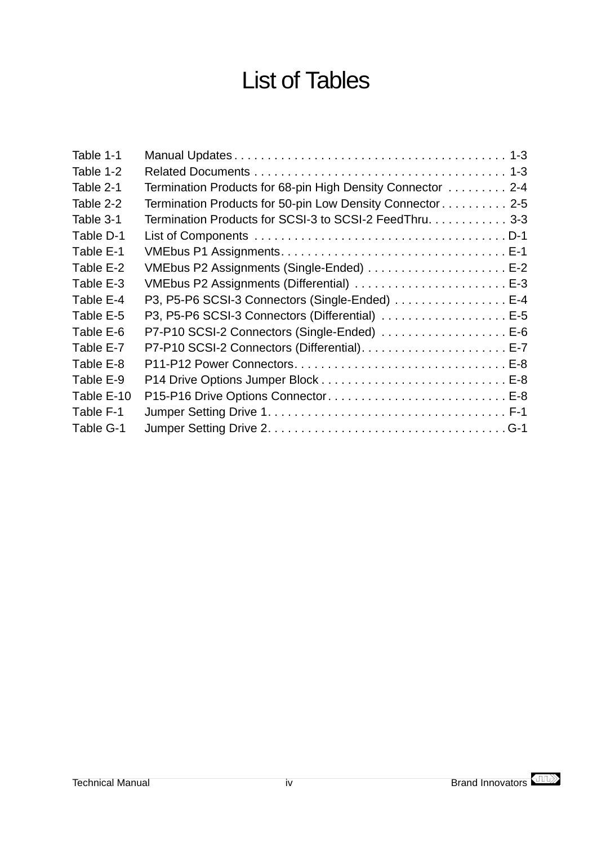# List of Tables

| Termination Products for 68-pin High Density Connector 2-4 |
|------------------------------------------------------------|
| Termination Products for 50-pin Low Density Connector 2-5  |
| Termination Products for SCSI-3 to SCSI-2 FeedThru. 3-3    |
|                                                            |
|                                                            |
| VMEbus P2 Assignments (Single-Ended)  E-2                  |
|                                                            |
| P3, P5-P6 SCSI-3 Connectors (Single-Ended)  E-4            |
| P3, P5-P6 SCSI-3 Connectors (Differential) E-5             |
| P7-P10 SCSI-2 Connectors (Single-Ended)  E-6               |
|                                                            |
|                                                            |
|                                                            |
| P15-P16 Drive Options Connector E-8                        |
|                                                            |
|                                                            |
|                                                            |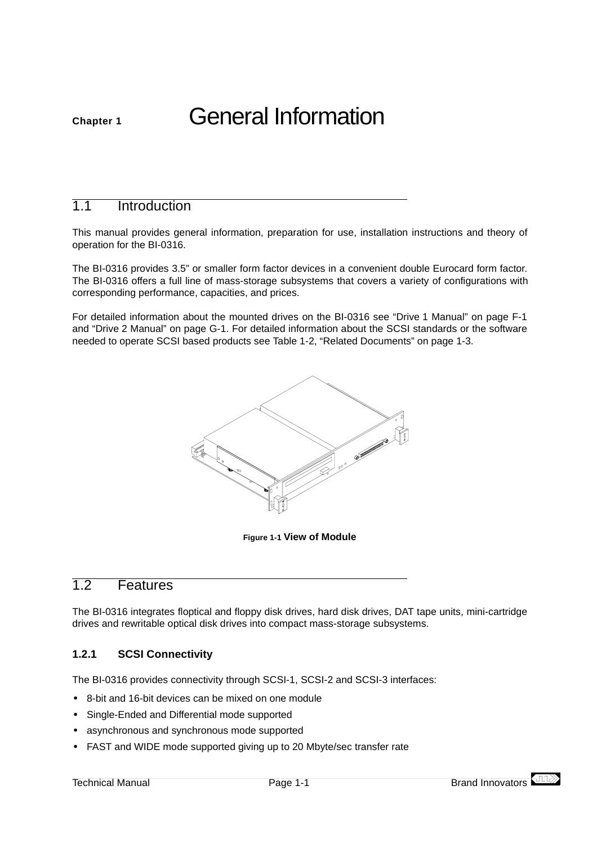# <span id="page-7-0"></span>**Chapter 1** General Information

# 1.1 Introduction

This manual provides general information, preparation for use, installation instructions and theory of operation for the BI-0316.

The BI-0316 provides 3.5" or smaller form factor devices in a convenient double Eurocard form factor. The BI-0316 offers a full line of mass-storage subsystems that covers a variety of configurations with corresponding performance, capacities, and prices.

For detailed information about the mounted drives on the BI-0316 see ["Drive 1 Manual" on page F-1](#page-51-0) and ["Drive 2 Manual" on page G-1](#page-53-0). For detailed information about the SCSI standards or the software needed to operate SCSI based products see [Table 1-2, "Related Documents" on page 1-3](#page-9-0).



**Figure 1-1 View of Module**

# 1.2 Features

The BI-0316 integrates floptical and floppy disk drives, hard disk drives, DAT tape units, mini-cartridge drives and rewritable optical disk drives into compact mass-storage subsystems.

#### **1.2.1 SCSI Connectivity**

The BI-0316 provides connectivity through SCSI-1, SCSI-2 and SCSI-3 interfaces:

- **•** 8-bit and 16-bit devices can be mixed on one module
- **•** Single-Ended and Differential mode supported
- **•** asynchronous and synchronous mode supported
- **•** FAST and WIDE mode supported giving up to 20 Mbyte/sec transfer rate

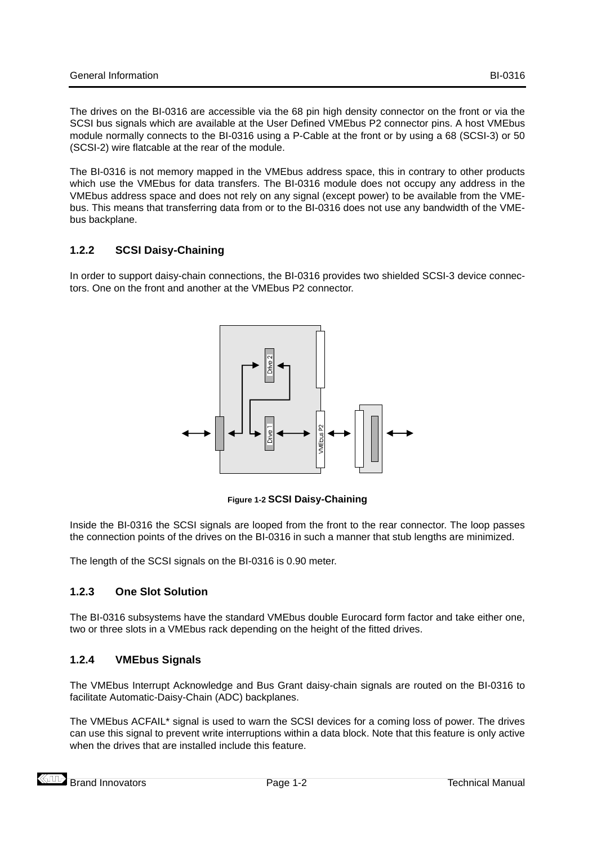<span id="page-8-0"></span>The drives on the BI-0316 are accessible via the 68 pin high density connector on the front or via the SCSI bus signals which are available at the User Defined VMEbus P2 connector pins. A host VMEbus module normally connects to the BI-0316 using a P-Cable at the front or by using a 68 (SCSI-3) or 50 (SCSI-2) wire flatcable at the rear of the module.

The BI-0316 is not memory mapped in the VMEbus address space, this in contrary to other products which use the VMEbus for data transfers. The BI-0316 module does not occupy any address in the VMEbus address space and does not rely on any signal (except power) to be available from the VMEbus. This means that transferring data from or to the BI-0316 does not use any bandwidth of the VMEbus backplane.

### **1.2.2 SCSI Daisy-Chaining**

In order to support daisy-chain connections, the BI-0316 provides two shielded SCSI-3 device connectors. One on the front and another at the VMEbus P2 connector.



**Figure 1-2 SCSI Daisy-Chaining**

Inside the BI-0316 the SCSI signals are looped from the front to the rear connector. The loop passes the connection points of the drives on the BI-0316 in such a manner that stub lengths are minimized.

The length of the SCSI signals on the BI-0316 is 0.90 meter.

### **1.2.3 One Slot Solution**

The BI-0316 subsystems have the standard VMEbus double Eurocard form factor and take either one, two or three slots in a VMEbus rack depending on the height of the fitted drives.

### **1.2.4 VMEbus Signals**

The VMEbus Interrupt Acknowledge and Bus Grant daisy-chain signals are routed on the BI-0316 to facilitate Automatic-Daisy-Chain (ADC) backplanes.

The VMEbus ACFAIL\* signal is used to warn the SCSI devices for a coming loss of power. The drives can use this signal to prevent write interruptions within a data block. Note that this feature is only active when the drives that are installed include this feature.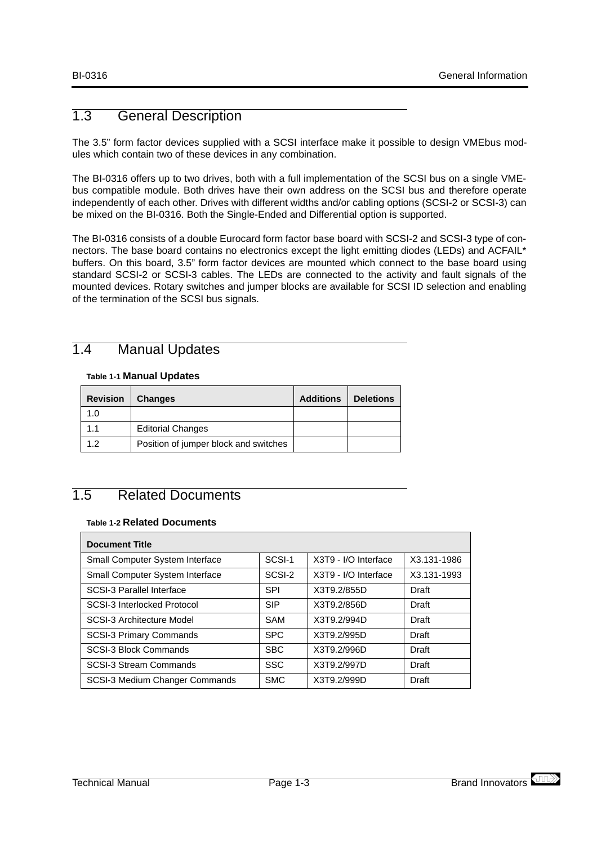# <span id="page-9-0"></span>1.3 General Description

The 3.5" form factor devices supplied with a SCSI interface make it possible to design VMEbus modules which contain two of these devices in any combination.

The BI-0316 offers up to two drives, both with a full implementation of the SCSI bus on a single VMEbus compatible module. Both drives have their own address on the SCSI bus and therefore operate independently of each other. Drives with different widths and/or cabling options (SCSI-2 or SCSI-3) can be mixed on the BI-0316. Both the Single-Ended and Differential option is supported.

The BI-0316 consists of a double Eurocard form factor base board with SCSI-2 and SCSI-3 type of connectors. The base board contains no electronics except the light emitting diodes (LEDs) and ACFAIL\* buffers. On this board, 3.5" form factor devices are mounted which connect to the base board using standard SCSI-2 or SCSI-3 cables. The LEDs are connected to the activity and fault signals of the mounted devices. Rotary switches and jumper blocks are available for SCSI ID selection and enabling of the termination of the SCSI bus signals.

# 1.4 Manual Updates

#### **Table 1-1 Manual Updates**

| <b>Revision</b> | <b>Changes</b>                        | <b>Additions</b> | <b>Deletions</b> |
|-----------------|---------------------------------------|------------------|------------------|
| 1.0             |                                       |                  |                  |
|                 | <b>Editorial Changes</b>              |                  |                  |
| 12              | Position of jumper block and switches |                  |                  |

# 1.5 Related Documents

#### **Table 1-2 Related Documents**

| <b>Document Title</b>            |            |                      |             |
|----------------------------------|------------|----------------------|-------------|
| Small Computer System Interface  | SCSI-1     | X3T9 - I/O Interface | X3.131-1986 |
| Small Computer System Interface  | SCSI-2     | X3T9 - I/O Interface | X3.131-1993 |
| <b>SCSI-3 Parallel Interface</b> | <b>SPI</b> | X3T9.2/855D          | Draft       |
| SCSI-3 Interlocked Protocol      | <b>SIP</b> | X3T9.2/856D          | Draft       |
| SCSI-3 Architecture Model        | <b>SAM</b> | X3T9.2/994D          | Draft       |
| <b>SCSI-3 Primary Commands</b>   | <b>SPC</b> | X3T9.2/995D          | Draft       |
| <b>SCSI-3 Block Commands</b>     | <b>SBC</b> | X3T9.2/996D          | Draft       |
| SCSI-3 Stream Commands           | <b>SSC</b> | X3T9.2/997D          | Draft       |
| SCSI-3 Medium Changer Commands   | <b>SMC</b> | X3T9.2/999D          | Draft       |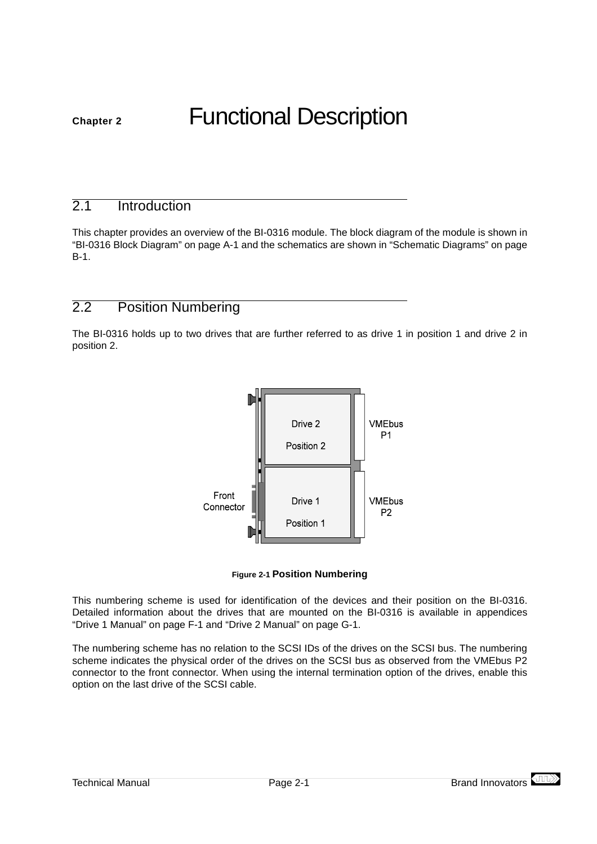# <span id="page-11-0"></span>**Chapter 2** Functional Description

# 2.1 Introduction

This chapter provides an overview of the BI-0316 module. The block diagram of the module is shown in ["BI-0316 Block Diagram" on page A-1](#page-25-0) and the schematics are shown in ["Schematic Diagrams" on page](#page-27-0) [B-1.](#page-27-0)

# 2.2 Position Numbering

The BI-0316 holds up to two drives that are further referred to as drive 1 in position 1 and drive 2 in position 2.



#### **Figure 2-1 Position Numbering**

This numbering scheme is used for identification of the devices and their position on the BI-0316. Detailed information about the drives that are mounted on the BI-0316 is available in appendices ["Drive 1 Manual" on page F-1](#page-51-0) and ["Drive 2 Manual" on page G-1](#page-53-0).

The numbering scheme has no relation to the SCSI IDs of the drives on the SCSI bus. The numbering scheme indicates the physical order of the drives on the SCSI bus as observed from the VMEbus P2 connector to the front connector. When using the internal termination option of the drives, enable this option on the last drive of the SCSI cable.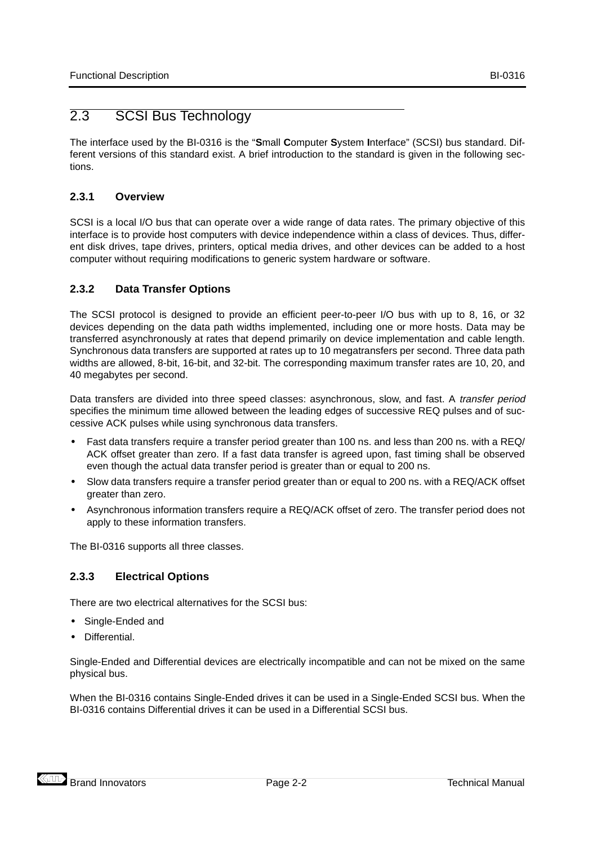# <span id="page-12-0"></span>2.3 SCSI Bus Technology

The interface used by the BI-0316 is the "**S**mall **C**omputer **S**ystem **I**nterface" (SCSI) bus standard. Different versions of this standard exist. A brief introduction to the standard is given in the following sections.

### **2.3.1 Overview**

SCSI is a local I/O bus that can operate over a wide range of data rates. The primary objective of this interface is to provide host computers with device independence within a class of devices. Thus, different disk drives, tape drives, printers, optical media drives, and other devices can be added to a host computer without requiring modifications to generic system hardware or software.

### **2.3.2 Data Transfer Options**

The SCSI protocol is designed to provide an efficient peer-to-peer I/O bus with up to 8, 16, or 32 devices depending on the data path widths implemented, including one or more hosts. Data may be transferred asynchronously at rates that depend primarily on device implementation and cable length. Synchronous data transfers are supported at rates up to 10 megatransfers per second. Three data path widths are allowed, 8-bit, 16-bit, and 32-bit. The corresponding maximum transfer rates are 10, 20, and 40 megabytes per second.

Data transfers are divided into three speed classes: asynchronous, slow, and fast. A transfer period specifies the minimum time allowed between the leading edges of successive REQ pulses and of successive ACK pulses while using synchronous data transfers.

- **•** Fast data transfers require a transfer period greater than 100 ns. and less than 200 ns. with a REQ/ ACK offset greater than zero. If a fast data transfer is agreed upon, fast timing shall be observed even though the actual data transfer period is greater than or equal to 200 ns.
- **•** Slow data transfers require a transfer period greater than or equal to 200 ns. with a REQ/ACK offset greater than zero.
- **•** Asynchronous information transfers require a REQ/ACK offset of zero. The transfer period does not apply to these information transfers.

The BI-0316 supports all three classes.

### **2.3.3 Electrical Options**

There are two electrical alternatives for the SCSI bus:

- **•** Single-Ended and
- **•** Differential.

Single-Ended and Differential devices are electrically incompatible and can not be mixed on the same physical bus.

When the BI-0316 contains Single-Ended drives it can be used in a Single-Ended SCSI bus. When the BI-0316 contains Differential drives it can be used in a Differential SCSI bus.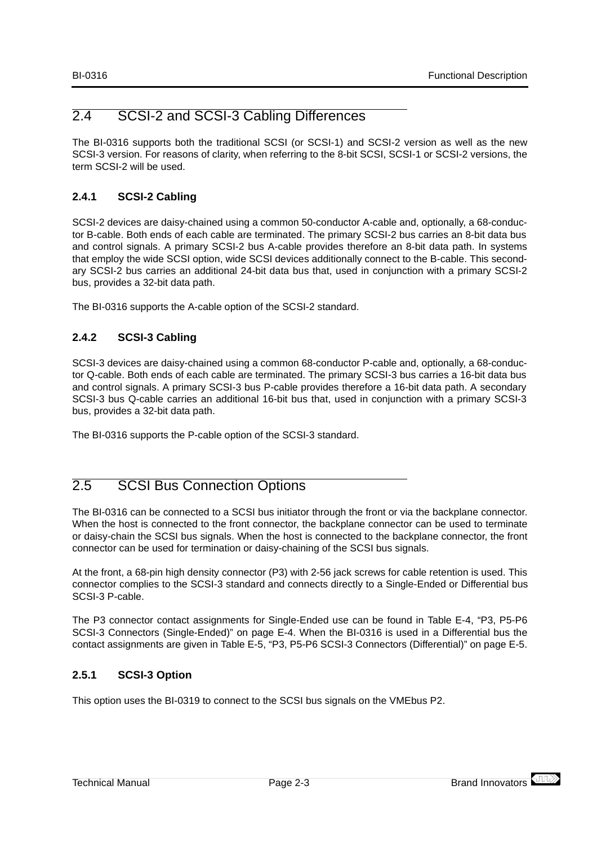# <span id="page-13-0"></span>2.4 SCSI-2 and SCSI-3 Cabling Differences

The BI-0316 supports both the traditional SCSI (or SCSI-1) and SCSI-2 version as well as the new SCSI-3 version. For reasons of clarity, when referring to the 8-bit SCSI, SCSI-1 or SCSI-2 versions, the term SCSI-2 will be used.

### **2.4.1 SCSI-2 Cabling**

SCSI-2 devices are daisy-chained using a common 50-conductor A-cable and, optionally, a 68-conductor B-cable. Both ends of each cable are terminated. The primary SCSI-2 bus carries an 8-bit data bus and control signals. A primary SCSI-2 bus A-cable provides therefore an 8-bit data path. In systems that employ the wide SCSI option, wide SCSI devices additionally connect to the B-cable. This secondary SCSI-2 bus carries an additional 24-bit data bus that, used in conjunction with a primary SCSI-2 bus, provides a 32-bit data path.

The BI-0316 supports the A-cable option of the SCSI-2 standard.

### **2.4.2 SCSI-3 Cabling**

SCSI-3 devices are daisy-chained using a common 68-conductor P-cable and, optionally, a 68-conductor Q-cable. Both ends of each cable are terminated. The primary SCSI-3 bus carries a 16-bit data bus and control signals. A primary SCSI-3 bus P-cable provides therefore a 16-bit data path. A secondary SCSI-3 bus Q-cable carries an additional 16-bit bus that, used in conjunction with a primary SCSI-3 bus, provides a 32-bit data path.

The BI-0316 supports the P-cable option of the SCSI-3 standard.

# 2.5 SCSI Bus Connection Options

The BI-0316 can be connected to a SCSI bus initiator through the front or via the backplane connector. When the host is connected to the front connector, the backplane connector can be used to terminate or daisy-chain the SCSI bus signals. When the host is connected to the backplane connector, the front connector can be used for termination or daisy-chaining of the SCSI bus signals.

At the front, a 68-pin high density connector (P3) with 2-56 jack screws for cable retention is used. This connector complies to the SCSI-3 standard and connects directly to a Single-Ended or Differential bus SCSI-3 P-cable.

The P3 connector contact assignments for Single-Ended use can be found in [Table E-4, "P3, P5-P6](#page-46-0) [SCSI-3 Connectors \(Single-Ended\)" on page E-4](#page-46-0). When the BI-0316 is used in a Differential bus the contact assignments are given in [Table E-5, "P3, P5-P6 SCSI-3 Connectors \(Differential\)" on page E-5](#page-47-0).

### **2.5.1 SCSI-3 Option**

This option uses the BI-0319 to connect to the SCSI bus signals on the VMEbus P2.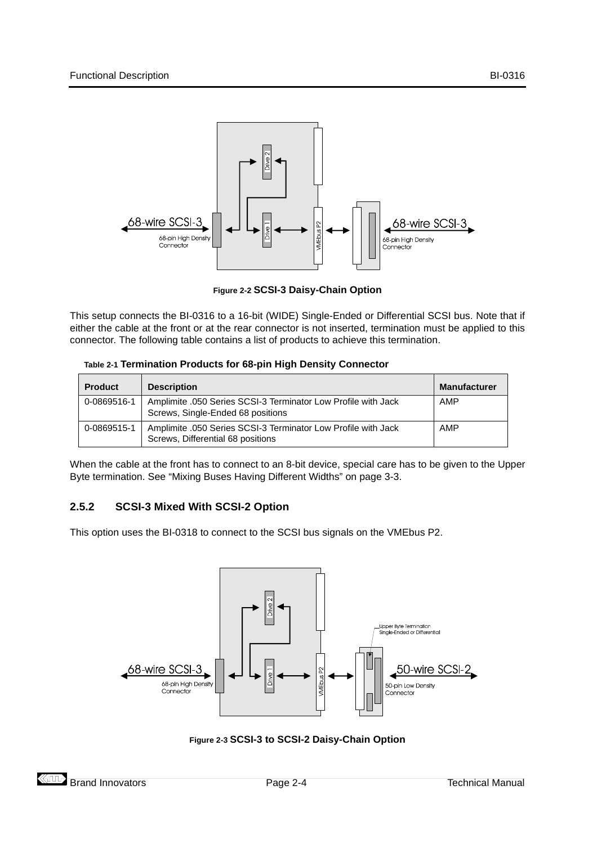<span id="page-14-0"></span>

**Figure 2-2 SCSI-3 Daisy-Chain Option**

This setup connects the BI-0316 to a 16-bit (WIDE) Single-Ended or Differential SCSI bus. Note that if either the cable at the front or at the rear connector is not inserted, termination must be applied to this connector. The following table contains a list of products to achieve this termination.

|  |  | Table 2-1 Termination Products for 68-pin High Density Connector |
|--|--|------------------------------------------------------------------|
|  |  |                                                                  |

| <b>Product</b> | <b>Description</b>                                                                                 | <b>Manufacturer</b> |
|----------------|----------------------------------------------------------------------------------------------------|---------------------|
| 0-0869516-1    | Amplimite .050 Series SCSI-3 Terminator Low Profile with Jack<br>Screws, Single-Ended 68 positions | AMP                 |
| 0-0869515-1    | Amplimite .050 Series SCSI-3 Terminator Low Profile with Jack<br>Screws, Differential 68 positions | AMP                 |

When the cable at the front has to connect to an 8-bit device, special care has to be given to the Upper Byte termination. See ["Mixing Buses Having Different Widths" on page 3-3](#page-21-0).

# **2.5.2 SCSI-3 Mixed With SCSI-2 Option**

This option uses the BI-0318 to connect to the SCSI bus signals on the VMEbus P2.



**Figure 2-3 SCSI-3 to SCSI-2 Daisy-Chain Option**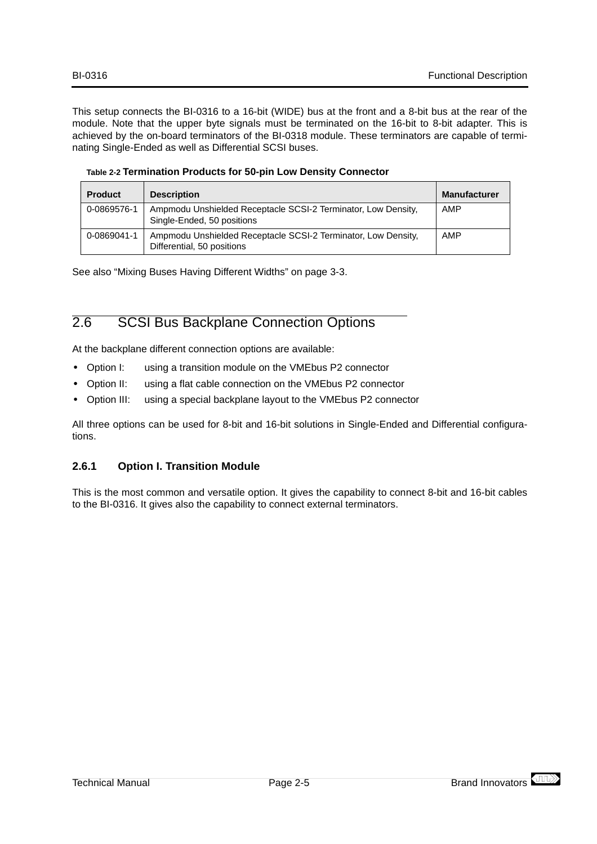<span id="page-15-0"></span>This setup connects the BI-0316 to a 16-bit (WIDE) bus at the front and a 8-bit bus at the rear of the module. Note that the upper byte signals must be terminated on the 16-bit to 8-bit adapter. This is achieved by the on-board terminators of the BI-0318 module. These terminators are capable of terminating Single-Ended as well as Differential SCSI buses.

|  |  |  |  |  | Table 2-2 Termination Products for 50-pin Low Density Connector |
|--|--|--|--|--|-----------------------------------------------------------------|
|--|--|--|--|--|-----------------------------------------------------------------|

| <b>Product</b> | <b>Description</b>                                                                          | <b>Manufacturer</b> |
|----------------|---------------------------------------------------------------------------------------------|---------------------|
| 0-0869576-1    | Ampmodu Unshielded Receptacle SCSI-2 Terminator, Low Density,<br>Single-Ended, 50 positions | AMP                 |
| 0-0869041-1    | Ampmodu Unshielded Receptacle SCSI-2 Terminator, Low Density,<br>Differential, 50 positions | AMP                 |

See also ["Mixing Buses Having Different Widths" on page 3-3](#page-21-0).

# 2.6 SCSI Bus Backplane Connection Options

At the backplane different connection options are available:

- **•** Option I: using a transition module on the VMEbus P2 connector
- **•** Option II: using a flat cable connection on the VMEbus P2 connector
- **•** Option III: using a special backplane layout to the VMEbus P2 connector

All three options can be used for 8-bit and 16-bit solutions in Single-Ended and Differential configurations.

### **2.6.1 Option I. Transition Module**

This is the most common and versatile option. It gives the capability to connect 8-bit and 16-bit cables to the BI-0316. It gives also the capability to connect external terminators.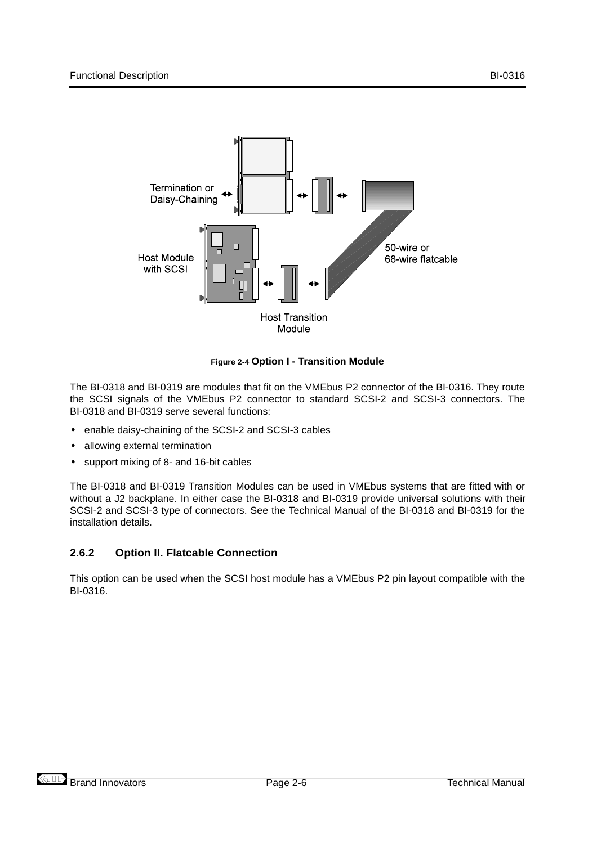<span id="page-16-0"></span>

#### **Figure 2-4 Option I - Transition Module**

The BI-0318 and BI-0319 are modules that fit on the VMEbus P2 connector of the BI-0316. They route the SCSI signals of the VMEbus P2 connector to standard SCSI-2 and SCSI-3 connectors. The BI-0318 and BI-0319 serve several functions:

- **•** enable daisy-chaining of the SCSI-2 and SCSI-3 cables
- **•** allowing external termination
- **•** support mixing of 8- and 16-bit cables

The BI-0318 and BI-0319 Transition Modules can be used in VMEbus systems that are fitted with or without a J2 backplane. In either case the BI-0318 and BI-0319 provide universal solutions with their SCSI-2 and SCSI-3 type of connectors. See the Technical Manual of the BI-0318 and BI-0319 for the installation details.

#### **2.6.2 Option II. Flatcable Connection**

This option can be used when the SCSI host module has a VMEbus P2 pin layout compatible with the BI-0316.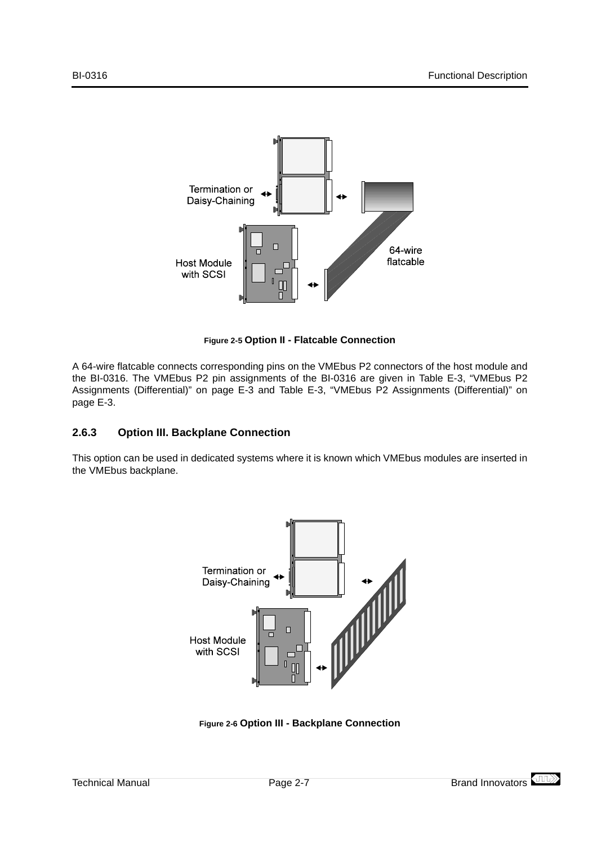<span id="page-17-0"></span>

**Figure 2-5 Option II - Flatcable Connection**

A 64-wire flatcable connects corresponding pins on the VMEbus P2 connectors of the host module and the BI-0316. The VMEbus P2 pin assignments of the BI-0316 are given in [Table E-3, "VMEbus P2](#page-44-0) [Assignments \(Differential\)" on page E-3](#page-44-0) and [Table E-3, "VMEbus P2 Assignments \(Differential\)" on](#page-44-0) [page E-3](#page-44-0).

### **2.6.3 Option III. Backplane Connection**

This option can be used in dedicated systems where it is known which VMEbus modules are inserted in the VMEbus backplane.



**Figure 2-6 Option III - Backplane Connection**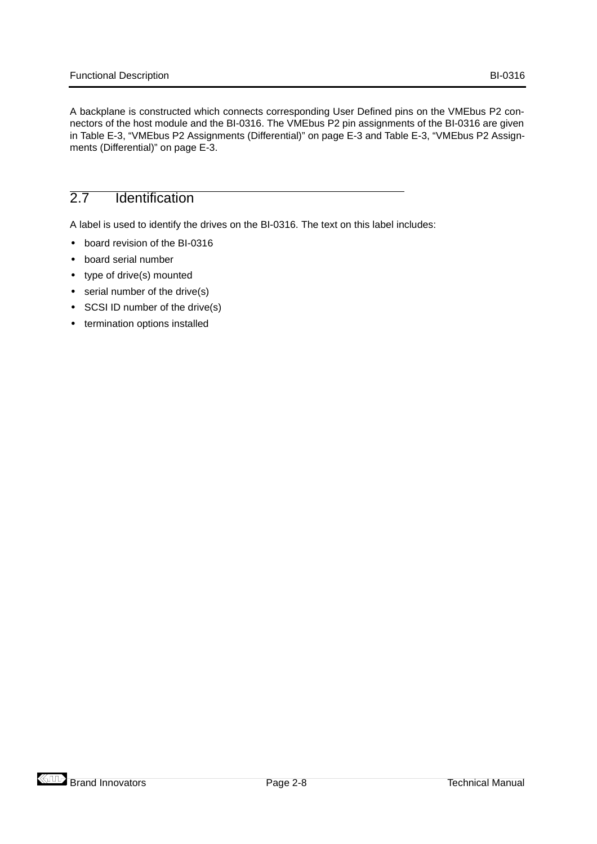<span id="page-18-0"></span>A backplane is constructed which connects corresponding User Defined pins on the VMEbus P2 connectors of the host module and the BI-0316. The VMEbus P2 pin assignments of the BI-0316 are given in [Table E-3, "VMEbus P2 Assignments \(Differential\)" on page E-3](#page-44-0) and [Table E-3, "VMEbus P2 Assign](#page-44-0)[ments \(Differential\)" on page E-3](#page-44-0).

# 2.7 Identification

A label is used to identify the drives on the BI-0316. The text on this label includes:

- **•** board revision of the BI-0316
- **•** board serial number
- **•** type of drive(s) mounted
- **•** serial number of the drive(s)
- **•** SCSI ID number of the drive(s)
- **•** termination options installed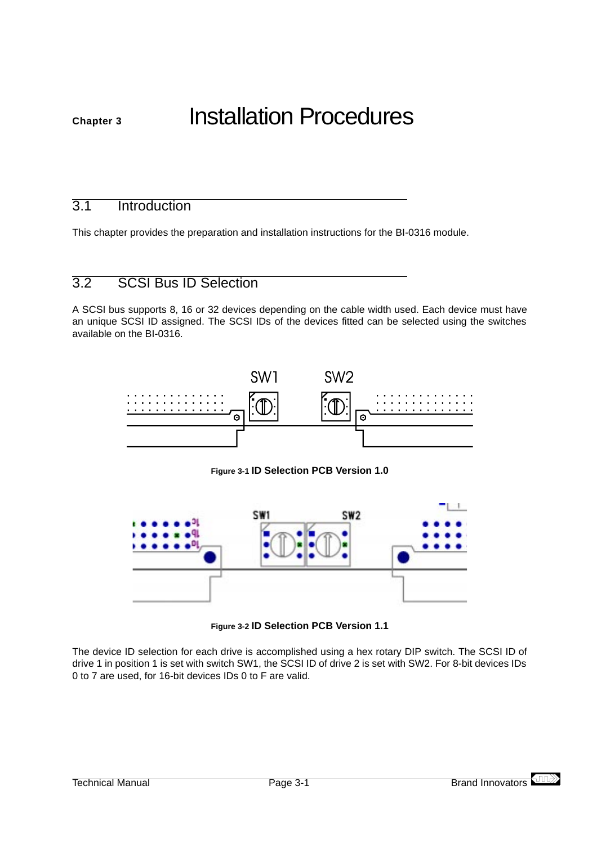# <span id="page-19-0"></span>**Chapter 3** Installation Procedures

# 3.1 Introduction

This chapter provides the preparation and installation instructions for the BI-0316 module.

# 3.2 SCSI Bus ID Selection

A SCSI bus supports 8, 16 or 32 devices depending on the cable width used. Each device must have an unique SCSI ID assigned. The SCSI IDs of the devices fitted can be selected using the switches available on the BI-0316.



**Figure 3-1 ID Selection PCB Version 1.0**



**Figure 3-2 ID Selection PCB Version 1.1**

The device ID selection for each drive is accomplished using a hex rotary DIP switch. The SCSI ID of drive 1 in position 1 is set with switch SW1, the SCSI ID of drive 2 is set with SW2. For 8-bit devices IDs 0 to 7 are used, for 16-bit devices IDs 0 to F are valid.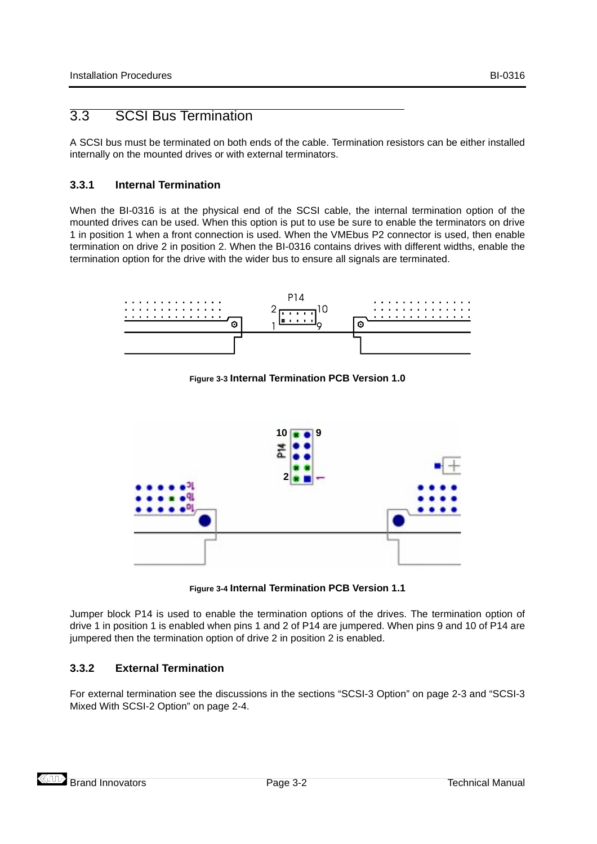# <span id="page-20-0"></span>3.3 SCSI Bus Termination

A SCSI bus must be terminated on both ends of the cable. Termination resistors can be either installed internally on the mounted drives or with external terminators.

### **3.3.1 Internal Termination**

When the BI-0316 is at the physical end of the SCSI cable, the internal termination option of the mounted drives can be used. When this option is put to use be sure to enable the terminators on drive 1 in position 1 when a front connection is used. When the VMEbus P2 connector is used, then enable termination on drive 2 in position 2. When the BI-0316 contains drives with different widths, enable the termination option for the drive with the wider bus to ensure all signals are terminated.



**Figure 3-3 Internal Termination PCB Version 1.0**



**Figure 3-4 Internal Termination PCB Version 1.1**

Jumper block P14 is used to enable the termination options of the drives. The termination option of drive 1 in position 1 is enabled when pins 1 and 2 of P14 are jumpered. When pins 9 and 10 of P14 are jumpered then the termination option of drive 2 in position 2 is enabled.

### **3.3.2 External Termination**

For external termination see the discussions in the sections ["SCSI-3 Option" on page 2-3](#page-13-0) and ["SCSI-3](#page-14-0) [Mixed With SCSI-2 Option" on page 2-4](#page-14-0).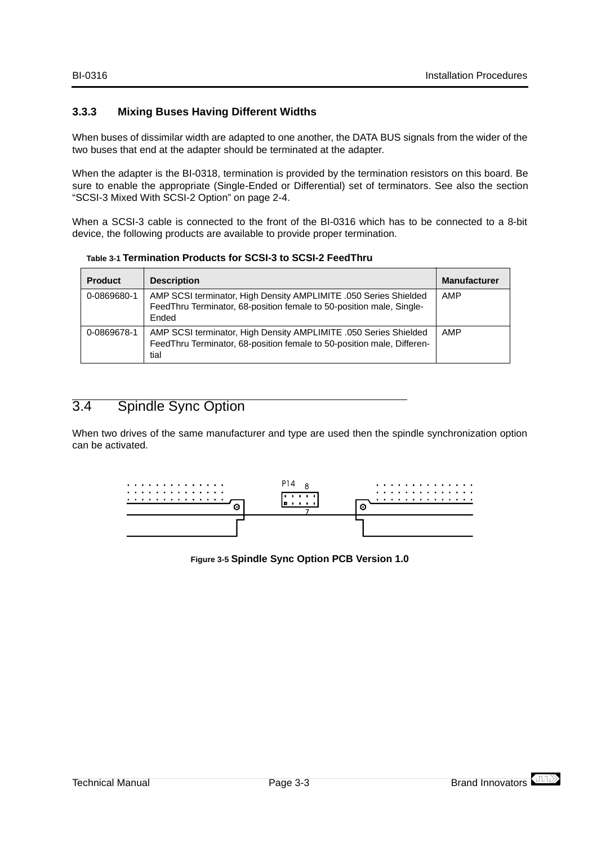### <span id="page-21-0"></span>**3.3.3 Mixing Buses Having Different Widths**

When buses of dissimilar width are adapted to one another, the DATA BUS signals from the wider of the two buses that end at the adapter should be terminated at the adapter.

When the adapter is the BI-0318, termination is provided by the termination resistors on this board. Be sure to enable the appropriate (Single-Ended or Differential) set of terminators. See also the section ["SCSI-3 Mixed With SCSI-2 Option" on page 2-4](#page-14-0).

When a SCSI-3 cable is connected to the front of the BI-0316 which has to be connected to a 8-bit device, the following products are available to provide proper termination.

**Table 3-1 Termination Products for SCSI-3 to SCSI-2 FeedThru**

| <b>Product</b> | <b>Description</b>                                                                                                                                 | <b>Manufacturer</b> |
|----------------|----------------------------------------------------------------------------------------------------------------------------------------------------|---------------------|
| 0-0869680-1    | AMP SCSI terminator, High Density AMPLIMITE .050 Series Shielded<br>FeedThru Terminator, 68-position female to 50-position male, Single-<br>Ended  | AMP                 |
| 0-0869678-1    | AMP SCSI terminator, High Density AMPLIMITE .050 Series Shielded<br>FeedThru Terminator, 68-position female to 50-position male, Differen-<br>tial | AMP                 |

# 3.4 Spindle Sync Option

When two drives of the same manufacturer and type are used then the spindle synchronization option can be activated.



**Figure 3-5 Spindle Sync Option PCB Version 1.0**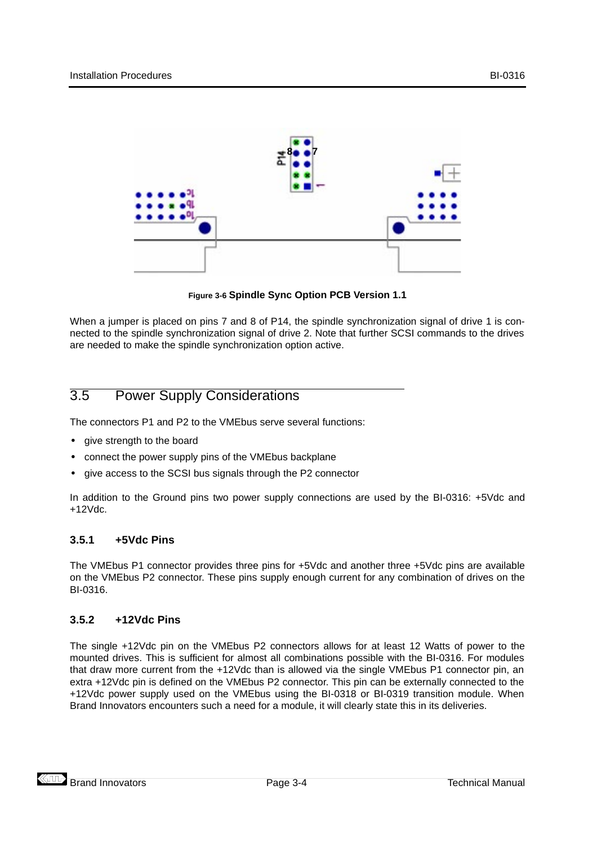<span id="page-22-0"></span>

**Figure 3-6 Spindle Sync Option PCB Version 1.1**

When a jumper is placed on pins 7 and 8 of P14, the spindle synchronization signal of drive 1 is connected to the spindle synchronization signal of drive 2. Note that further SCSI commands to the drives are needed to make the spindle synchronization option active.

# 3.5 Power Supply Considerations

The connectors P1 and P2 to the VMEbus serve several functions:

- **•** give strength to the board
- **•** connect the power supply pins of the VMEbus backplane
- **•** give access to the SCSI bus signals through the P2 connector

In addition to the Ground pins two power supply connections are used by the BI-0316: +5Vdc and +12Vdc.

## **3.5.1 +5Vdc Pins**

The VMEbus P1 connector provides three pins for +5Vdc and another three +5Vdc pins are available on the VMEbus P2 connector. These pins supply enough current for any combination of drives on the BI-0316.

#### **3.5.2 +12Vdc Pins**

The single +12Vdc pin on the VMEbus P2 connectors allows for at least 12 Watts of power to the mounted drives. This is sufficient for almost all combinations possible with the BI-0316. For modules that draw more current from the +12Vdc than is allowed via the single VMEbus P1 connector pin, an extra +12Vdc pin is defined on the VMEbus P2 connector. This pin can be externally connected to the +12Vdc power supply used on the VMEbus using the BI-0318 or BI-0319 transition module. When Brand Innovators encounters such a need for a module, it will clearly state this in its deliveries.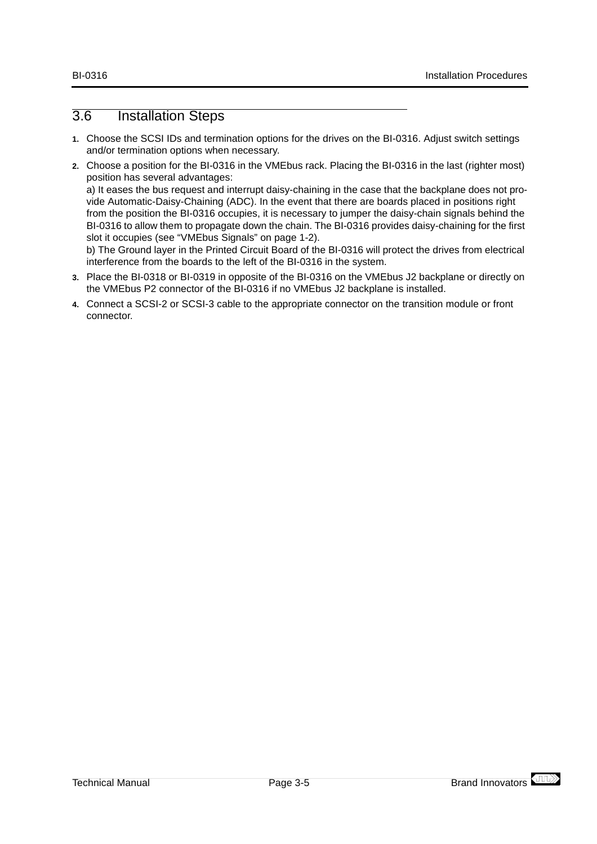# <span id="page-23-0"></span>3.6 Installation Steps

- **1.** Choose the SCSI IDs and termination options for the drives on the BI-0316. Adjust switch settings and/or termination options when necessary.
- **2.** Choose a position for the BI-0316 in the VMEbus rack. Placing the BI-0316 in the last (righter most) position has several advantages:

a) It eases the bus request and interrupt daisy-chaining in the case that the backplane does not provide Automatic-Daisy-Chaining (ADC). In the event that there are boards placed in positions right from the position the BI-0316 occupies, it is necessary to jumper the daisy-chain signals behind the BI-0316 to allow them to propagate down the chain. The BI-0316 provides daisy-chaining for the first slot it occupies (see ["VMEbus Signals" on page 1-2\)](#page-8-0).

b) The Ground layer in the Printed Circuit Board of the BI-0316 will protect the drives from electrical interference from the boards to the left of the BI-0316 in the system.

- **3.** Place the BI-0318 or BI-0319 in opposite of the BI-0316 on the VMEbus J2 backplane or directly on the VMEbus P2 connector of the BI-0316 if no VMEbus J2 backplane is installed.
- **4.** Connect a SCSI-2 or SCSI-3 cable to the appropriate connector on the transition module or front connector.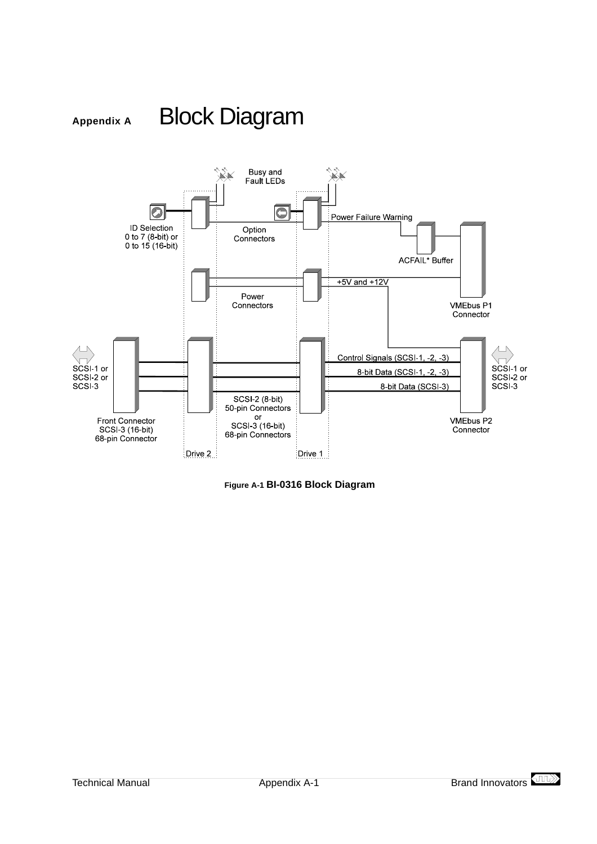<span id="page-25-0"></span>

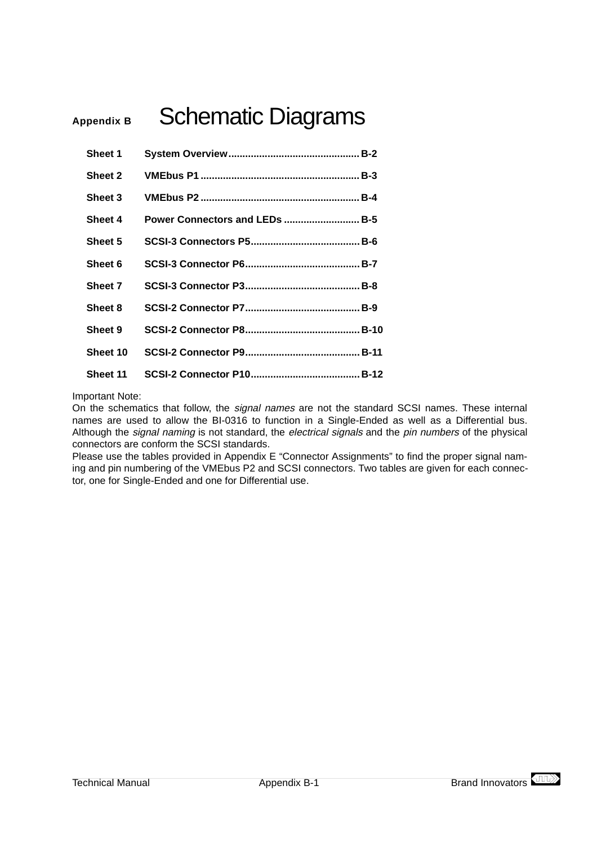# <span id="page-27-0"></span>Appendix B<br>
Schematic Diagrams

| Sheet 1  |                                |
|----------|--------------------------------|
| Sheet 2  |                                |
| Sheet 3  |                                |
| Sheet 4  | Power Connectors and LEDs  B-5 |
| Sheet 5  |                                |
| Sheet 6  |                                |
| Sheet 7  |                                |
| Sheet 8  |                                |
| Sheet 9  |                                |
| Sheet 10 |                                |
| Sheet 11 |                                |

Important Note:

On the schematics that follow, the signal names are not the standard SCSI names. These internal names are used to allow the BI-0316 to function in a Single-Ended as well as a Differential bus. Although the signal naming is not standard, the electrical signals and the pin numbers of the physical connectors are conform the SCSI standards.

Please use the tables provided in [Appendix E "Connector Assignments"](#page-43-0) to find the proper signal naming and pin numbering of the VMEbus P2 and SCSI connectors. Two tables are given for each connector, one for Single-Ended and one for Differential use.

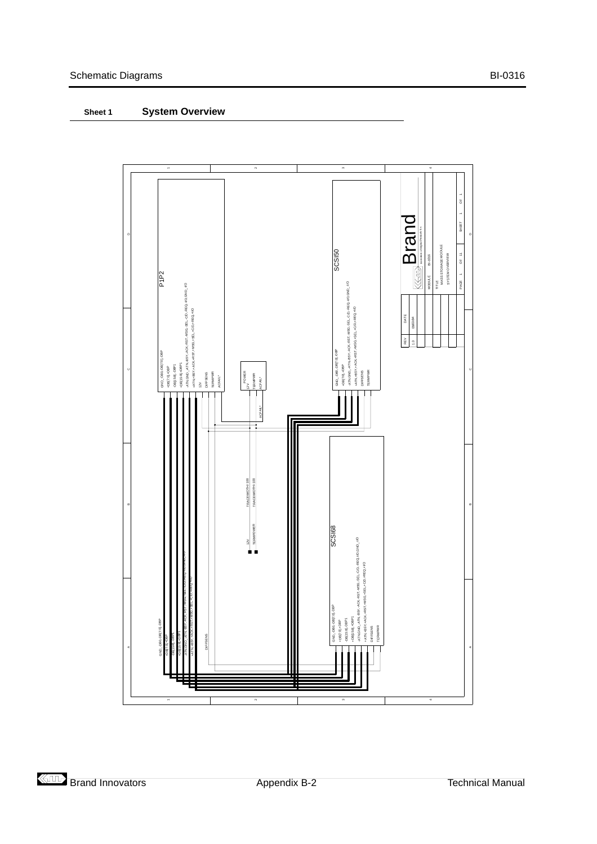## <span id="page-28-0"></span>**Sheet 1 System Overview**

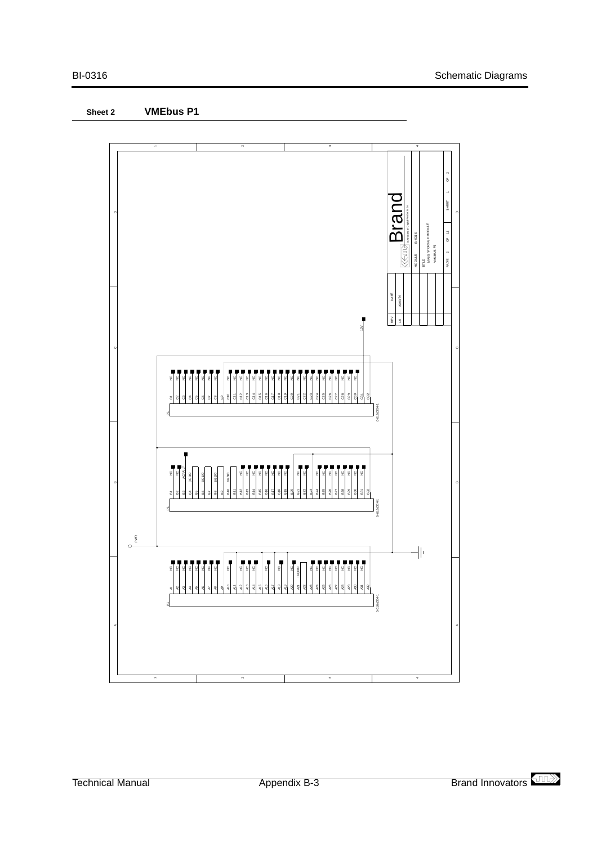<span id="page-29-0"></span>

**Sheet 2 VMEbus P1**

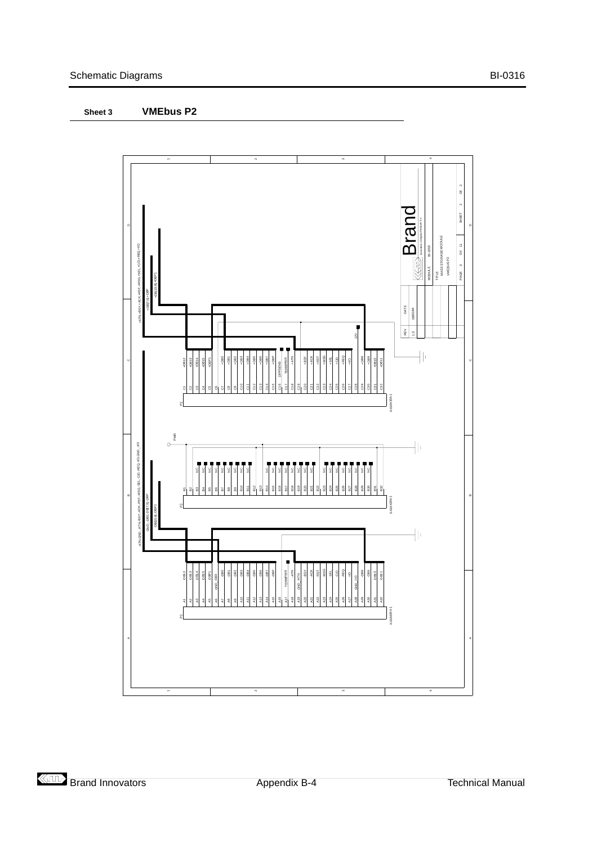#### <span id="page-30-0"></span>**Sheet 3 VMEbus P2**

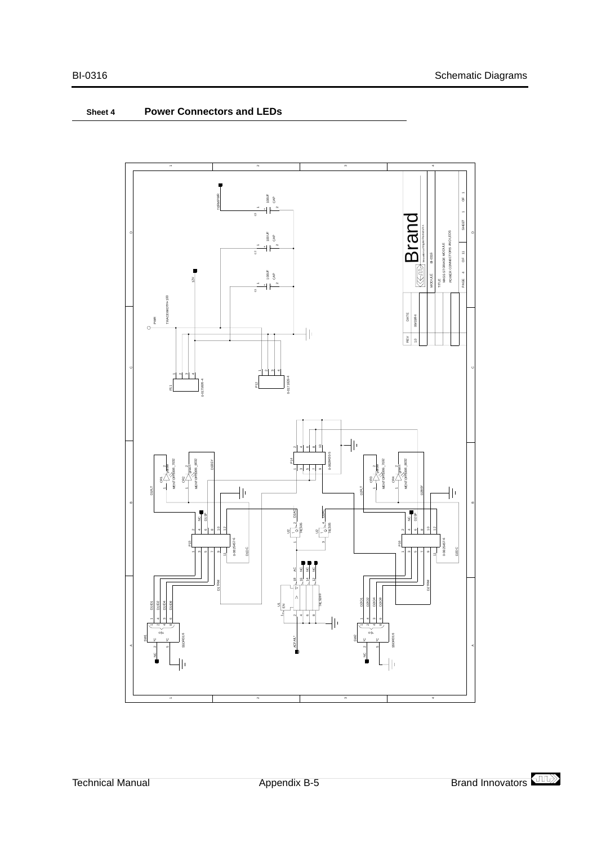<span id="page-31-0"></span>

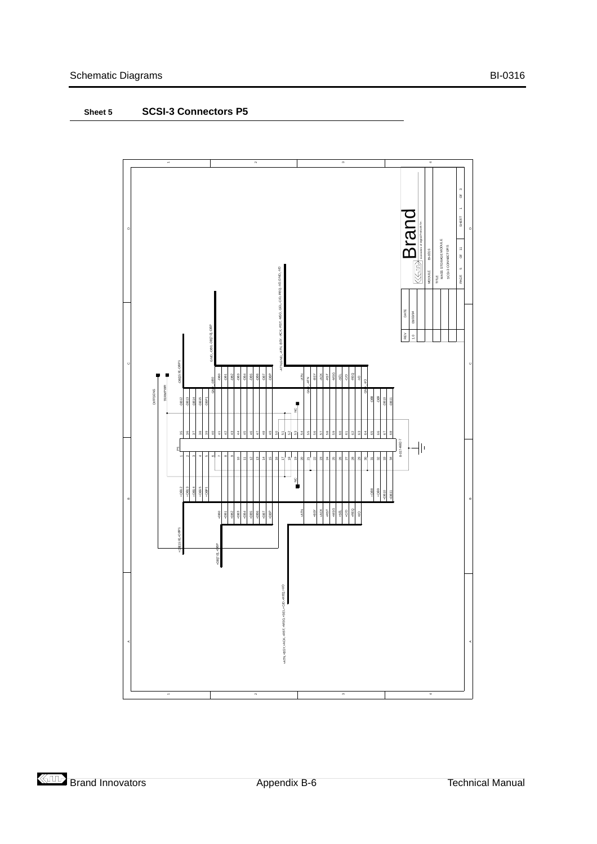<span id="page-32-0"></span>

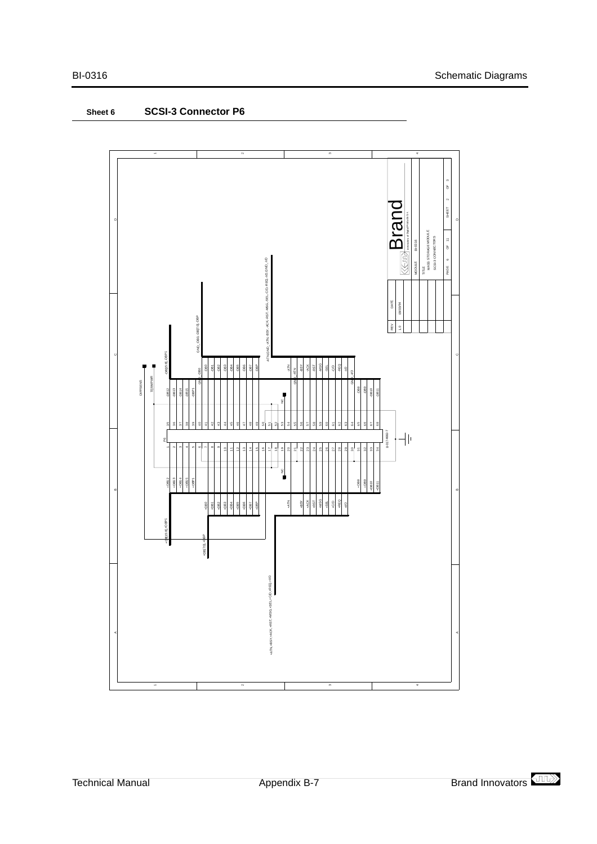

4

<span id="page-33-0"></span>**Sheet 6 SCSI-3 Connector P6**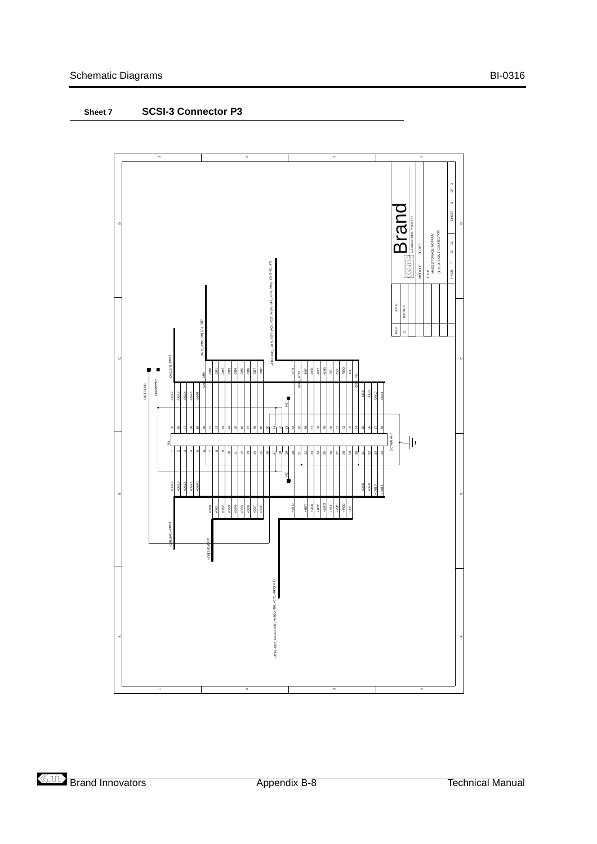<span id="page-34-0"></span>



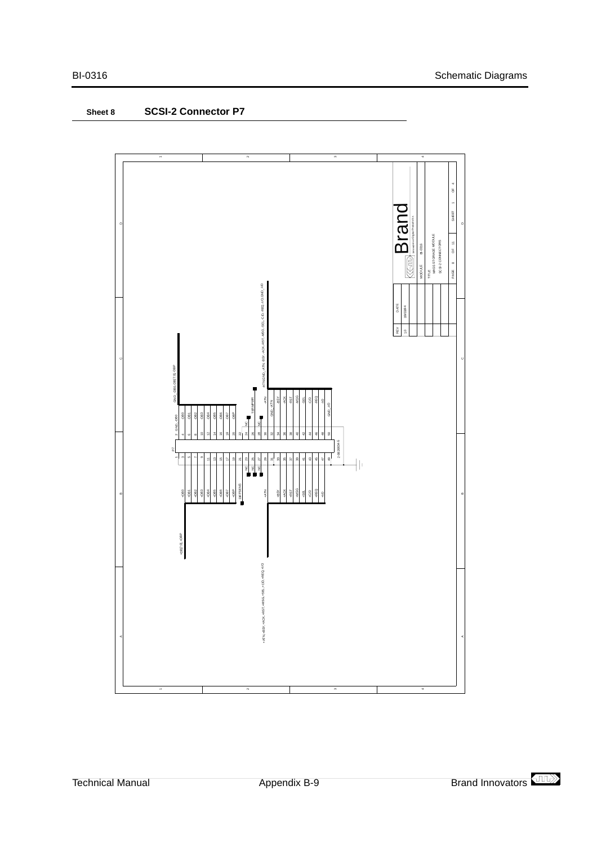<span id="page-35-0"></span>



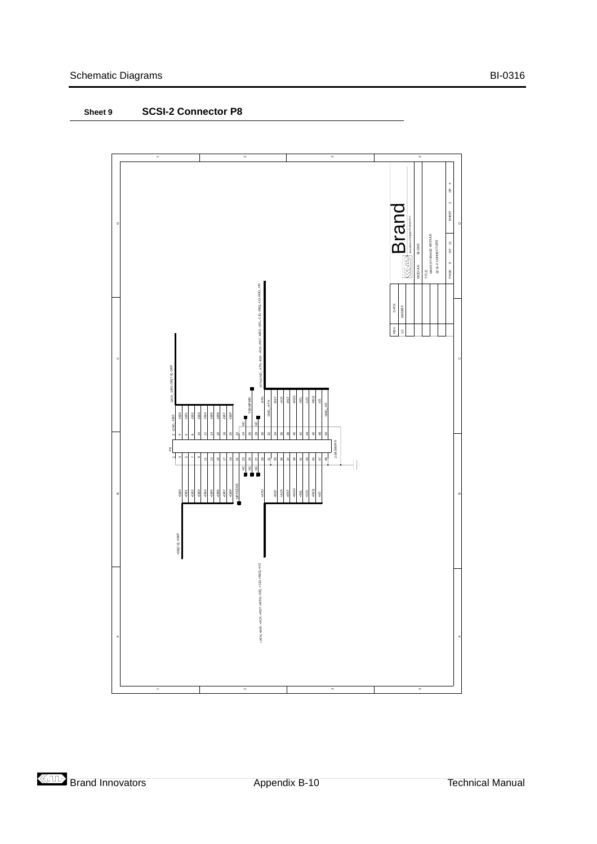<span id="page-36-0"></span>

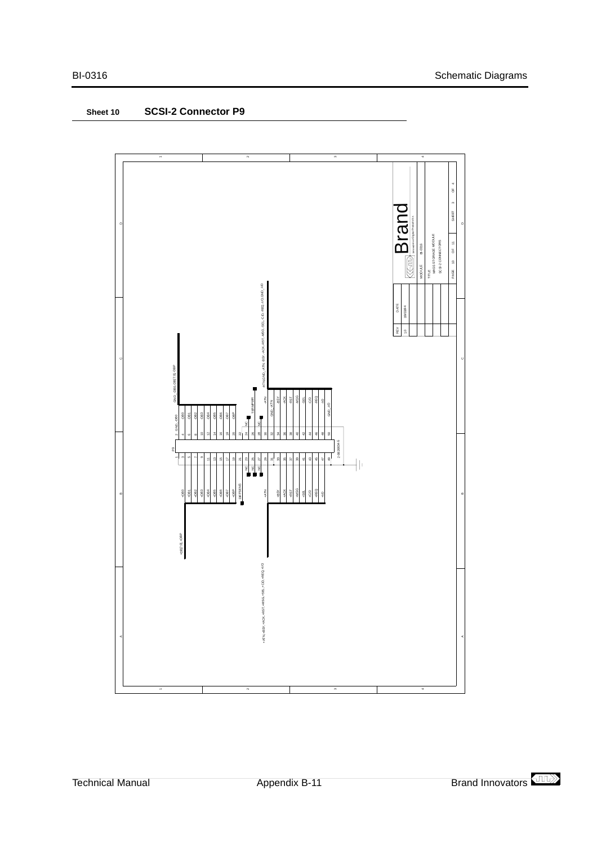<span id="page-37-0"></span>

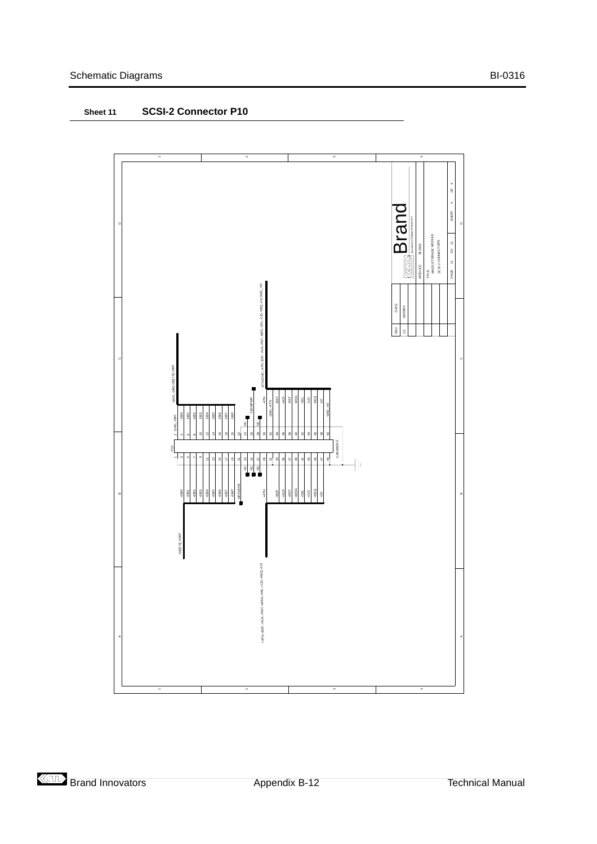<span id="page-38-0"></span>

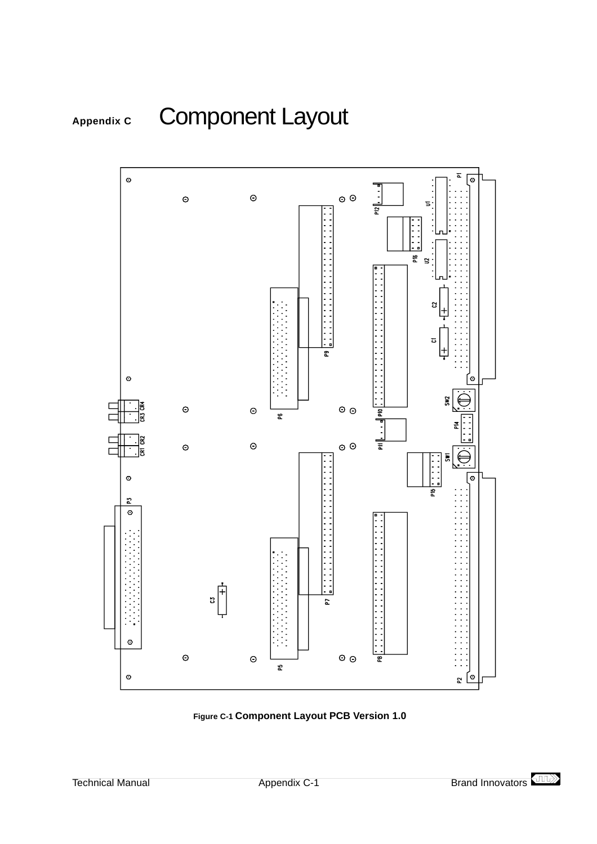<span id="page-39-0"></span>



**Figure C-1 Component Layout PCB Version 1.0**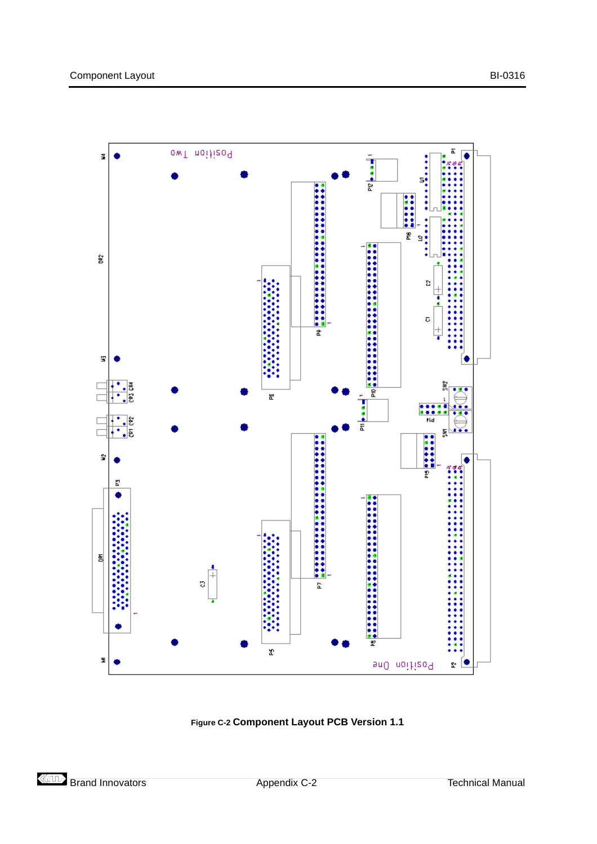<span id="page-40-0"></span>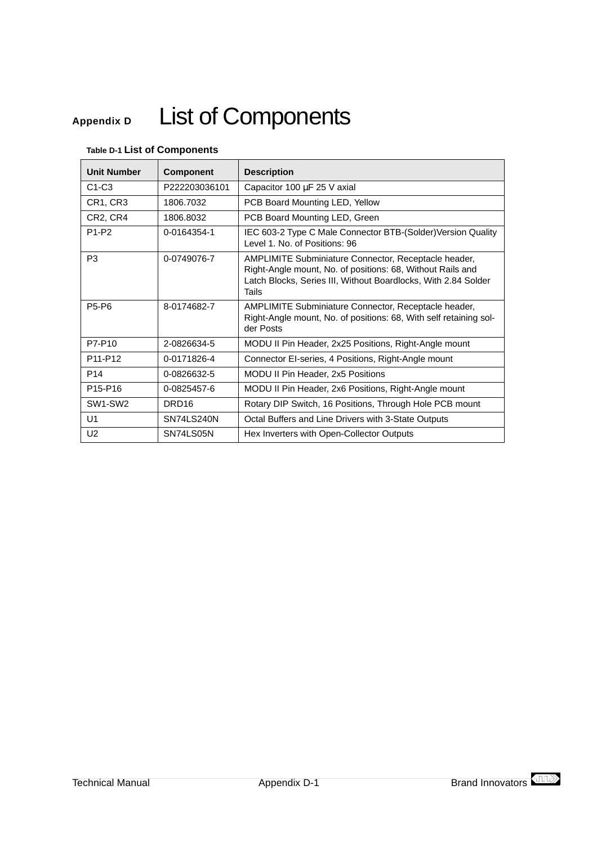# <span id="page-41-0"></span>**Appendix D** List of Components

# **Table D-1 List of Components**

| <b>Unit Number</b>               | <b>Component</b>  | <b>Description</b>                                                                                                                                                                                   |  |  |  |
|----------------------------------|-------------------|------------------------------------------------------------------------------------------------------------------------------------------------------------------------------------------------------|--|--|--|
| $C1-C3$                          | P222203036101     | Capacitor 100 µF 25 V axial                                                                                                                                                                          |  |  |  |
| CR1, CR3                         | 1806.7032         | PCB Board Mounting LED, Yellow                                                                                                                                                                       |  |  |  |
| CR2, CR4                         | 1806.8032         | PCB Board Mounting LED, Green                                                                                                                                                                        |  |  |  |
| P1-P2                            | 0-0164354-1       | IEC 603-2 Type C Male Connector BTB-(Solder) Version Quality<br>Level 1, No. of Positions: 96                                                                                                        |  |  |  |
| P <sub>3</sub>                   | 0-0749076-7       | <b>AMPLIMITE Subminiature Connector, Receptacle header,</b><br>Right-Angle mount, No. of positions: 68, Without Rails and<br>Latch Blocks, Series III, Without Boardlocks, With 2.84 Solder<br>Tails |  |  |  |
| <b>P5-P6</b>                     | 8-0174682-7       | AMPLIMITE Subminiature Connector, Receptacle header,<br>Right-Angle mount, No. of positions: 68, With self retaining sol-<br>der Posts                                                               |  |  |  |
| P7-P10                           | 2-0826634-5       | MODU II Pin Header, 2x25 Positions, Right-Angle mount                                                                                                                                                |  |  |  |
| P <sub>11</sub> -P <sub>12</sub> | 0-0171826-4       | Connector EI-series, 4 Positions, Right-Angle mount                                                                                                                                                  |  |  |  |
| P <sub>14</sub>                  | 0-0826632-5       | MODU II Pin Header, 2x5 Positions                                                                                                                                                                    |  |  |  |
| P15-P16                          | 0-0825457-6       | MODU II Pin Header, 2x6 Positions, Right-Angle mount                                                                                                                                                 |  |  |  |
| SW1-SW2                          | DRD <sub>16</sub> | Rotary DIP Switch, 16 Positions, Through Hole PCB mount                                                                                                                                              |  |  |  |
| U <sub>1</sub>                   | <b>SN74LS240N</b> | Octal Buffers and Line Drivers with 3-State Outputs                                                                                                                                                  |  |  |  |
| U <sub>2</sub>                   | SN74LS05N         | Hex Inverters with Open-Collector Outputs                                                                                                                                                            |  |  |  |

$$
\langle \Pi \Gamma \rangle
$$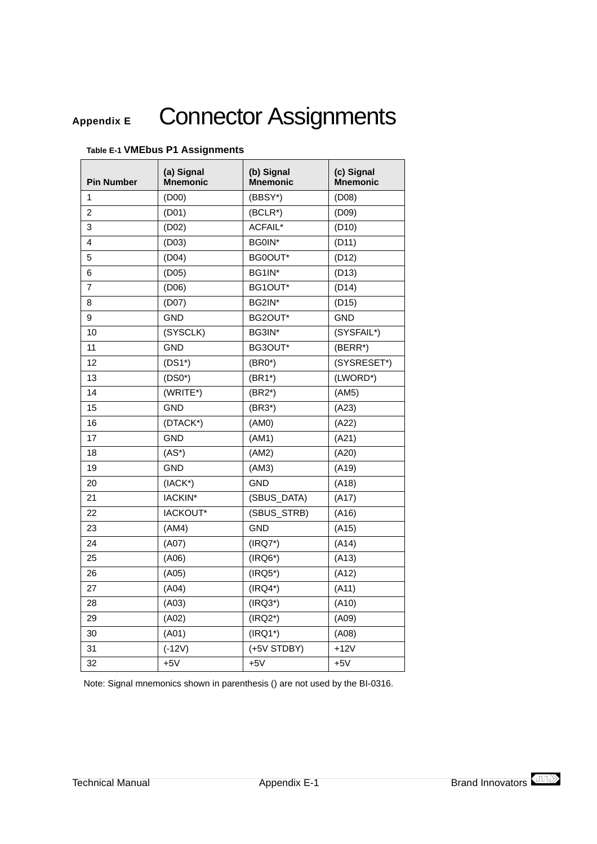# <span id="page-43-0"></span>Appendix E Connector Assignments

| <b>Pin Number</b> | (a) Signal<br><b>Mnemonic</b> | (b) Signal<br>Mnemonic | (c) Signal<br><b>Mnemonic</b> |
|-------------------|-------------------------------|------------------------|-------------------------------|
| 1                 | (D00)                         | (BBSY*)                | (D08)                         |
| 2                 | (D01)                         | (BCLR*)                | (D09)                         |
| 3                 | (D02)                         | ACFAIL*                | (D10)                         |
| 4                 | (D03)                         | BG0IN*                 | (D11)                         |
| 5                 | (D04)                         | BG0OUT*                | (D12)                         |
| 6                 | (D05)                         | BG1IN*                 | (D13)                         |
| 7                 | (D06)                         | BG1OUT*                | (D14)                         |
| 8                 | (D07)                         | BG2IN*                 | (D15)                         |
| 9                 | GND                           | BG2OUT*                | GND                           |
| 10                | (SYSCLK)                      | BG3IN*                 | (SYSFAIL*)                    |
| 11                | <b>GND</b>                    | BG3OUT*                | (BERR*)                       |
| 12                | $(DS1*)$                      | $(BRO*)$               | (SYSRESET*)                   |
| 13                | $(DSO*)$                      | $(BR1*)$               | (LWORD*)                      |
| 14                | (WRITE*)                      | $(BR2*)$               | (AM5)                         |
| 15                | <b>GND</b>                    | $(BR3*)$               | (A23)                         |
| 16                | (DTACK*)                      | (AM0)                  | (A22)                         |
| 17                | <b>GND</b>                    | (AM1)                  | (A21)                         |
| 18                | $(AS^*)$                      | (AM2)                  | (A20)                         |
| 19                | <b>GND</b>                    | (AM3)                  | (A19)                         |
| 20                | $(IACK^*)$                    | <b>GND</b>             | (A18)                         |
| 21                | IACKIN*                       | (SBUS_DATA)            | (A17)                         |
| 22                | IACKOUT*                      | (SBUS_STRB)            | (A16)                         |
| 23                | (AM4)                         | <b>GND</b>             | (A15)                         |
| 24                | (A07)                         | $(IRQ7*)$              | (A14)                         |
| 25                | (A06)                         | $(IRQ6*)$              | (A13)                         |
| 26                | (A05)                         | $(IRQ5*)$              | (A12)                         |
| 27                | (A04)                         | $(IRQ4*)$              | (A11)                         |
| 28                | (A03)                         | $(IRQ3*)$              | (A10)                         |
| 29                | (A02)                         | $(IRQ2*)$              | (A09)                         |
| 30                | (A01)                         | $(IRQ1*)$              | (A08)                         |
| 31                | $(-12V)$                      | (+5V STDBY)            | $+12V$                        |
| 32                | $+5V$                         | $+5V$                  | $+5V$                         |

#### **Table E-1 VMEbus P1 Assignments**

Note: Signal mnemonics shown in parenthesis () are not used by the BI-0316.

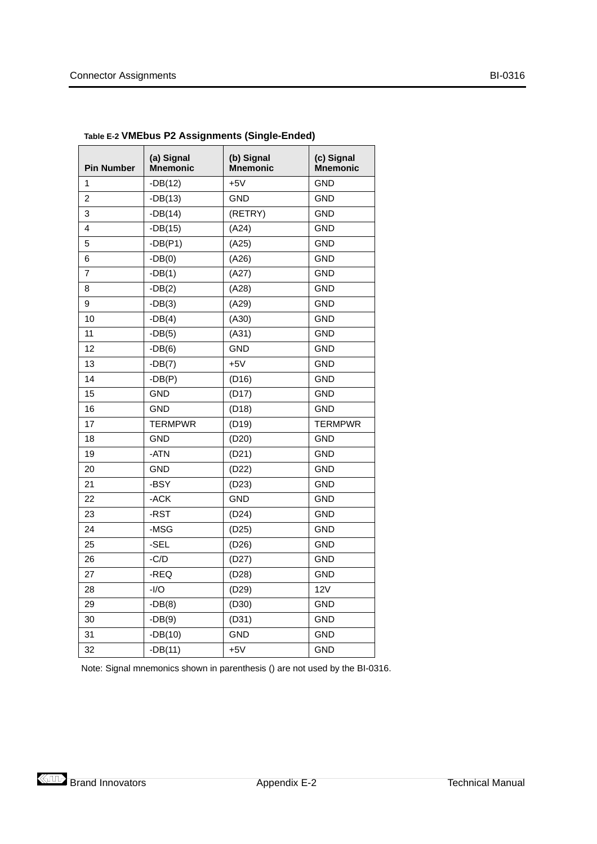| <b>Pin Number</b> | (a) Signal<br><b>Mnemonic</b> | (b) Signal<br><b>Mnemonic</b> | (c) Signal<br><b>Mnemonic</b> |
|-------------------|-------------------------------|-------------------------------|-------------------------------|
| 1                 | $-DB(12)$                     | $+5V$                         | <b>GND</b>                    |
| $\overline{2}$    | $-DB(13)$                     | <b>GND</b>                    | <b>GND</b>                    |
| 3                 | $-DB(14)$                     | (RETRY)                       | <b>GND</b>                    |
| 4                 | $-DB(15)$                     | (A24)                         | <b>GND</b>                    |
| 5                 | $-DB(P1)$                     | (A25)                         | <b>GND</b>                    |
| 6                 | $-DB(0)$                      | (A26)                         | <b>GND</b>                    |
| 7                 | $-DB(1)$                      | (A27)                         | <b>GND</b>                    |
| 8                 | $-DB(2)$                      | (A28)                         | <b>GND</b>                    |
| 9                 | $-DB(3)$                      | (A29)                         | <b>GND</b>                    |
| 10                | $-DB(4)$                      | (A30)                         | <b>GND</b>                    |
| 11                | $-DB(5)$                      | (A31)                         | <b>GND</b>                    |
| 12                | $-DB(6)$                      | <b>GND</b>                    | <b>GND</b>                    |
| 13                | $-DB(7)$                      | $+5V$                         | <b>GND</b>                    |
| 14                | $-DB(P)$                      | (D16)                         | <b>GND</b>                    |
| 15                | <b>GND</b>                    | (D17)                         | <b>GND</b>                    |
| 16                | <b>GND</b>                    | (D18)                         | <b>GND</b>                    |
| 17                | <b>TERMPWR</b>                | (D19)                         | <b>TERMPWR</b>                |
| 18                | <b>GND</b>                    | (D20)                         | <b>GND</b>                    |
| 19                | -ATN                          | (D21)                         | <b>GND</b>                    |
| 20                | <b>GND</b>                    | (D22)                         | <b>GND</b>                    |
| 21                | -BSY                          | (D23)                         | <b>GND</b>                    |
| 22                | $-ACK$                        | <b>GND</b>                    | <b>GND</b>                    |
| 23                | -RST                          | (D24)                         | <b>GND</b>                    |
| 24                | -MSG                          | (D25)                         | <b>GND</b>                    |
| 25                | -SEL                          | (D26)                         | <b>GND</b>                    |
| 26                | $-C/D$                        | (D27)                         | <b>GND</b>                    |
| 27                | $-REQ$                        | (D28)                         | <b>GND</b>                    |
| 28                | $-I/O$                        | (D29)                         | 12V                           |
| 29                | $-DB(8)$                      | (D30)                         | <b>GND</b>                    |
| 30                | $-DB(9)$                      | (D31)                         | <b>GND</b>                    |
| 31                | $-DB(10)$                     | <b>GND</b>                    | <b>GND</b>                    |
| 32                | $-DB(11)$                     | $+5V$                         | <b>GND</b>                    |

<span id="page-44-0"></span>**Table E-2 VMEbus P2 Assignments (Single-Ended)**

Note: Signal mnemonics shown in parenthesis () are not used by the BI-0316.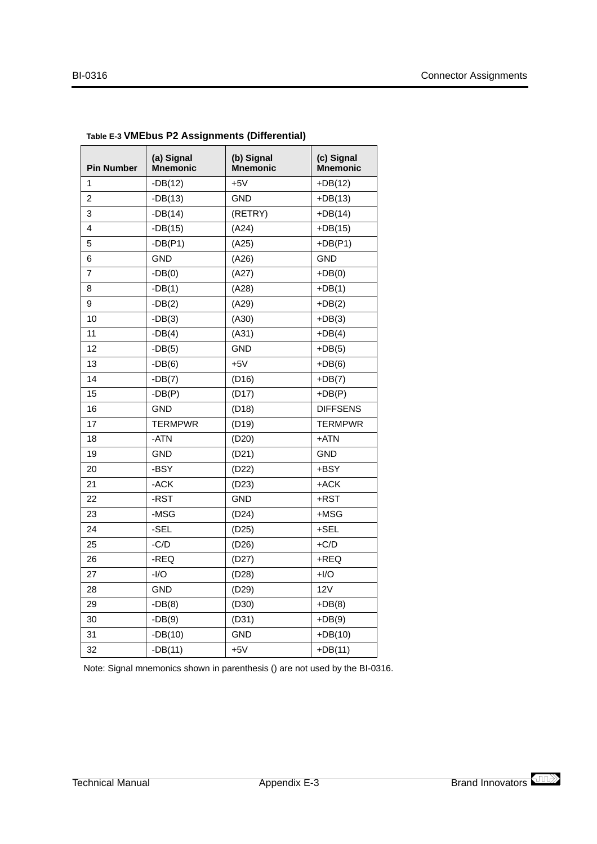| <b>Pin Number</b> | (a) Signal<br><b>Mnemonic</b> | (b) Signal<br><b>Mnemonic</b> | (c) Signal<br><b>Mnemonic</b> |
|-------------------|-------------------------------|-------------------------------|-------------------------------|
| 1                 | $-DB(12)$                     | $+5V$                         | $+DB(12)$                     |
| $\overline{2}$    | $-DB(13)$                     | <b>GND</b>                    | $+DB(13)$                     |
| 3                 | $-DB(14)$                     | (RETRY)                       | $+DB(14)$                     |
| 4                 | $-DB(15)$                     | (A24)                         | $+DB(15)$                     |
| 5                 | $-DB(P1)$                     | (A25)                         | $+DB(P1)$                     |
| 6                 | <b>GND</b>                    | (A26)                         | <b>GND</b>                    |
| $\overline{7}$    | $-DB(0)$                      | (A27)                         | $+DB(0)$                      |
| 8                 | $-DB(1)$                      | (A28)                         | $+DB(1)$                      |
| 9                 | $-DB(2)$                      | (A29)                         | $+DB(2)$                      |
| 10                | $-DB(3)$                      | (A30)                         | $+DB(3)$                      |
| 11                | $-DB(4)$                      | (A31)                         | $+DB(4)$                      |
| 12                | $-DB(5)$                      | <b>GND</b>                    | $+DB(5)$                      |
| 13                | $-DB(6)$                      | $+5V$                         | $+DB(6)$                      |
| 14                | $-DB(7)$                      | (D16)                         | $+DB(7)$                      |
| 15                | $-DB(P)$                      | (D17)                         | $+DB(P)$                      |
| 16                | <b>GND</b>                    | (D18)                         | <b>DIFFSENS</b>               |
| 17                | <b>TERMPWR</b>                | (D19)                         | <b>TERMPWR</b>                |
| 18                | -ATN                          | (D20)                         | +ATN                          |
| 19                | GND                           | (D21)                         | <b>GND</b>                    |
| 20                | -BSY                          | (D22)                         | +BSY                          |
| 21                | -ACK                          | (D23)                         | $+ACK$                        |
| 22                | -RST                          | <b>GND</b>                    | +RST                          |
| 23                | -MSG                          | (D24)                         | +MSG                          |
| 24                | -SEL                          | (D25)                         | +SEL                          |
| 25                | $-C/D$                        | (D26)                         | $+C/D$                        |
| 26                | $-REQ$                        | (D27)                         | +REQ                          |
| 27                | $-I/O$                        | (D28)                         | $+I/O$                        |
| 28                | <b>GND</b>                    | (D29)                         | 12V                           |
| 29                | $-DB(8)$                      | (D30)                         | $+DB(8)$                      |
| 30                | $-DB(9)$                      | (D31)                         | $+DB(9)$                      |
| 31                | $-DB(10)$                     | <b>GND</b>                    | $+DB(10)$                     |
| 32                | $-DB(11)$                     | $+5V$                         | $+DB(11)$                     |

### <span id="page-45-0"></span>**Table E-3 VMEbus P2 Assignments (Differential)**

Note: Signal mnemonics shown in parenthesis () are not used by the BI-0316.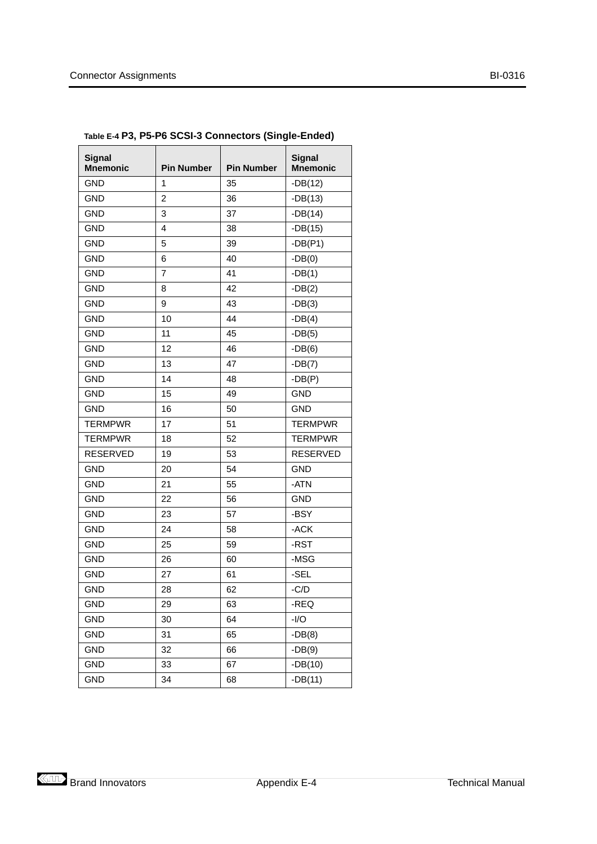| Signal<br><b>Mnemonic</b> | <b>Pin Number</b> | <b>Pin Number</b> | Signal<br><b>Mnemonic</b> |
|---------------------------|-------------------|-------------------|---------------------------|
| <b>GND</b>                | 1                 | 35                | $-DB(12)$                 |
| GND                       | $\overline{c}$    | 36                | $-DB(13)$                 |
| <b>GND</b>                | 3                 | 37                | $-DB(14)$                 |
| <b>GND</b>                | 4                 | 38                | $-DB(15)$                 |
| <b>GND</b>                | 5                 | 39                | $-DB(P1)$                 |
| <b>GND</b>                | 6                 | 40                | $-DB(0)$                  |
| <b>GND</b>                | 7                 | 41                | $-DB(1)$                  |
| <b>GND</b>                | 8                 | 42                | $-DB(2)$                  |
| <b>GND</b>                | 9                 | 43                | $-DB(3)$                  |
| <b>GND</b>                | 10                | 44                | $-DB(4)$                  |
| <b>GND</b>                | 11                | 45                | $-DB(5)$                  |
| <b>GND</b>                | 12                | 46                | $-DB(6)$                  |
| <b>GND</b>                | 13                | 47                | $-DB(7)$                  |
| <b>GND</b>                | 14                | 48                | $-DB(P)$                  |
| <b>GND</b>                | 15                | 49                | <b>GND</b>                |
| <b>GND</b>                | 16                | 50                | <b>GND</b>                |
| <b>TERMPWR</b>            | 17                | 51                | <b>TERMPWR</b>            |
| <b>TERMPWR</b>            | 18                | 52                | <b>TERMPWR</b>            |
| <b>RESERVED</b>           | 19                | 53                | <b>RESERVED</b>           |
| <b>GND</b>                | 20                | 54                | <b>GND</b>                |
| <b>GND</b>                | 21                | 55                | -ATN                      |
| <b>GND</b>                | 22                | 56                | <b>GND</b>                |
| <b>GND</b>                | 23                | 57                | -BSY                      |
| <b>GND</b>                | 24                | 58                | -ACK                      |
| <b>GND</b>                | 25                | 59                | -RST                      |
| <b>GND</b>                | 26                | 60                | -MSG                      |
| <b>GND</b>                | 27                | 61                | -SEL                      |
| GND                       | 28                | 62                | $-C/D$                    |
| GND                       | 29                | 63                | -REQ                      |
| GND                       | 30                | 64                | $-I/O$                    |
| GND                       | 31                | 65                | $-DB(8)$                  |
| GND                       | 32                | 66                | $-DB(9)$                  |
| <b>GND</b>                | 33                | 67                | $-DB(10)$                 |
| <b>GND</b>                | 34                | 68                | $-DB(11)$                 |

<span id="page-46-0"></span>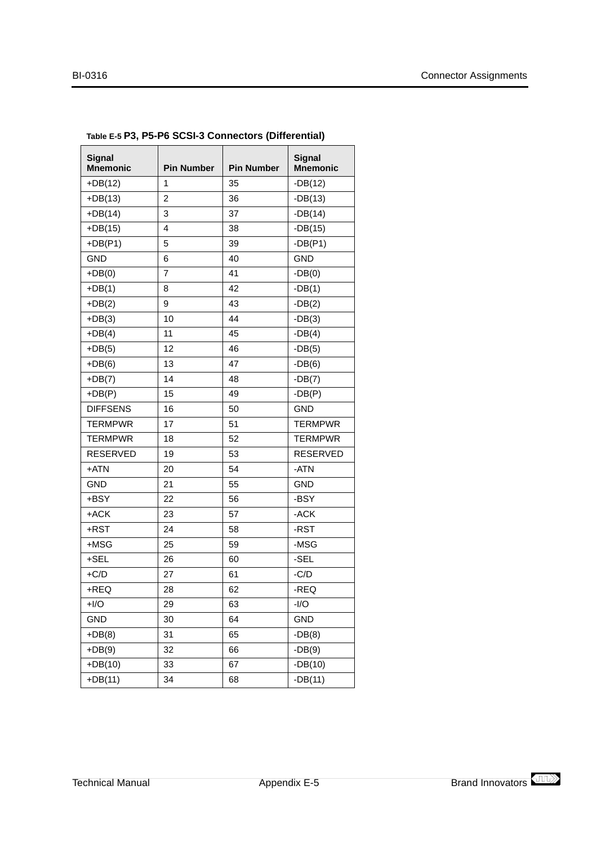| <b>Signal</b><br><b>Mnemonic</b> | <b>Pin Number</b> | <b>Pin Number</b> | <b>Signal</b><br><b>Mnemonic</b> |
|----------------------------------|-------------------|-------------------|----------------------------------|
| $+DB(12)$                        | 1                 | 35                | $-DB(12)$                        |
| $+DB(13)$                        | $\overline{2}$    | 36                | $-DB(13)$                        |
| $+DB(14)$                        | 3                 | 37                | $-DB(14)$                        |
| $+DB(15)$                        | 4                 | 38                | $-DB(15)$                        |
| $+DB(P1)$                        | 5                 | 39                | $-DB(P1)$                        |
| <b>GND</b>                       | 6                 | 40                | <b>GND</b>                       |
| $+DB(0)$                         | 7                 | 41                | $-DB(0)$                         |
| $+DB(1)$                         | 8                 | 42                | $-DB(1)$                         |
| $+DB(2)$                         | 9                 | 43                | $-DB(2)$                         |
| $+DB(3)$                         | 10                | 44                | $-DB(3)$                         |
| $+DB(4)$                         | 11                | 45                | $-DB(4)$                         |
| $+DB(5)$                         | 12                | 46                | $-DB(5)$                         |
| $+DB(6)$                         | 13                | 47                | $-DB(6)$                         |
| $+DB(7)$                         | 14                | 48                | $-DB(7)$                         |
| $+DB(P)$                         | 15                | 49                | $-DB(P)$                         |
| <b>DIFFSENS</b>                  | 16                | 50                | <b>GND</b>                       |
| <b>TERMPWR</b>                   | 17                | 51                | <b>TERMPWR</b>                   |
| <b>TERMPWR</b>                   | 18                | 52                | <b>TERMPWR</b>                   |
| <b>RESERVED</b>                  | 19                | 53                | <b>RESERVED</b>                  |
| +ATN                             | 20                | 54                | -ATN                             |
| <b>GND</b>                       | 21                | 55                | <b>GND</b>                       |
| +BSY                             | 22                | 56                | -BSY                             |
| +ACK                             | 23                | 57                | -ACK                             |
| +RST                             | 24                | 58                | -RST                             |
| $+MSG$                           | 25                | 59                | -MSG                             |
| $+$ SEL                          | 26                | 60                | -SEL                             |
| $+C/D$                           | 27                | 61                | $-C/D$                           |
| $+$ REQ                          | 28                | 62                | -REQ                             |
| $+I/O$                           | 29                | 63                | $-I/O$                           |
| <b>GND</b>                       | 30                | 64                | <b>GND</b>                       |
| $+DB(8)$                         | 31                | 65                | $-DB(8)$                         |
| $+DB(9)$                         | 32                | 66                | $-DB(9)$                         |
| $+DB(10)$                        | 33                | 67                | $-DB(10)$                        |
| $+DB(11)$                        | 34                | 68                | $-DB(11)$                        |

### <span id="page-47-0"></span>**Table E-5 P3, P5-P6 SCSI-3 Connectors (Differential)**

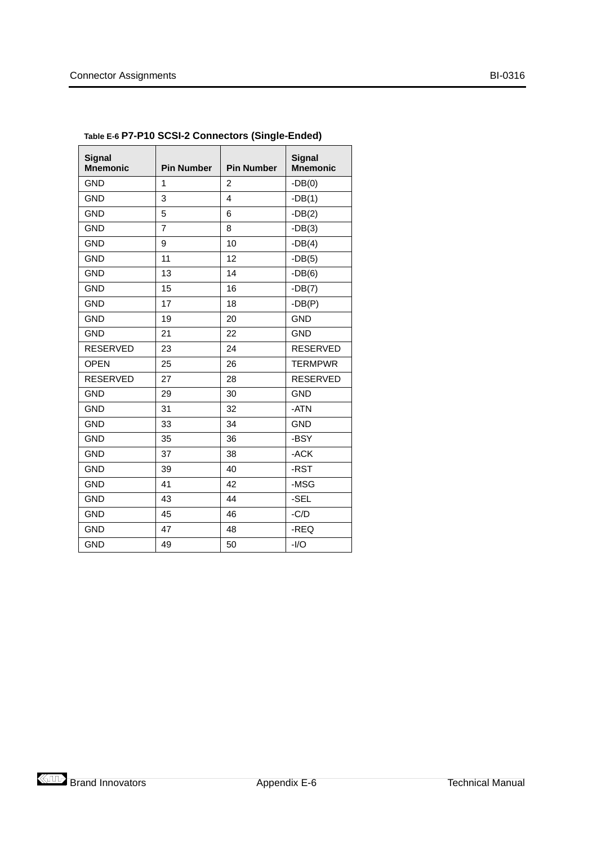| <b>Signal</b><br><b>Mnemonic</b> | <b>Pin Number</b> | <b>Pin Number</b> | <b>Signal</b><br><b>Mnemonic</b> |
|----------------------------------|-------------------|-------------------|----------------------------------|
| <b>GND</b>                       | 1                 | 2                 | $-DB(0)$                         |
| <b>GND</b>                       | 3                 | $\overline{4}$    | $-DB(1)$                         |
| <b>GND</b>                       | 5                 | 6                 | $-DB(2)$                         |
| <b>GND</b>                       | $\overline{7}$    | 8                 | $-DB(3)$                         |
| <b>GND</b>                       | 9                 | 10                | $-DB(4)$                         |
| <b>GND</b>                       | 11                | 12                | $-DB(5)$                         |
| <b>GND</b>                       | 13                | 14                | $-DB(6)$                         |
| <b>GND</b>                       | 15                | 16                | $-DB(7)$                         |
| <b>GND</b>                       | 17                | 18                | $-DB(P)$                         |
| <b>GND</b>                       | 19                | 20                | <b>GND</b>                       |
| <b>GND</b>                       | 21                | 22                | <b>GND</b>                       |
| <b>RESERVED</b>                  | 23                | 24                | <b>RESERVED</b>                  |
| <b>OPEN</b>                      | 25                | 26                | <b>TERMPWR</b>                   |
| <b>RESERVED</b>                  | 27                | 28                | <b>RESERVED</b>                  |
| <b>GND</b>                       | 29                | 30                | <b>GND</b>                       |
| <b>GND</b>                       | 31                | 32                | -ATN                             |
| <b>GND</b>                       | 33                | 34                | <b>GND</b>                       |
| <b>GND</b>                       | 35                | 36                | -BSY                             |
| <b>GND</b>                       | 37                | 38                | $-ACK$                           |
| <b>GND</b>                       | 39                | 40                | -RST                             |
| <b>GND</b>                       | 41                | 42                | -MSG                             |
| <b>GND</b>                       | 43                | 44                | -SEL                             |
| <b>GND</b>                       | 45                | 46                | $-C/D$                           |
| <b>GND</b>                       | 47                | 48                | -REQ                             |
| <b>GND</b>                       | 49                | 50                | $-I/O$                           |

<span id="page-48-0"></span>

| Table E-6 P7-P10 SCSI-2 Connectors (Single-Ended) |  |  |  |
|---------------------------------------------------|--|--|--|
|---------------------------------------------------|--|--|--|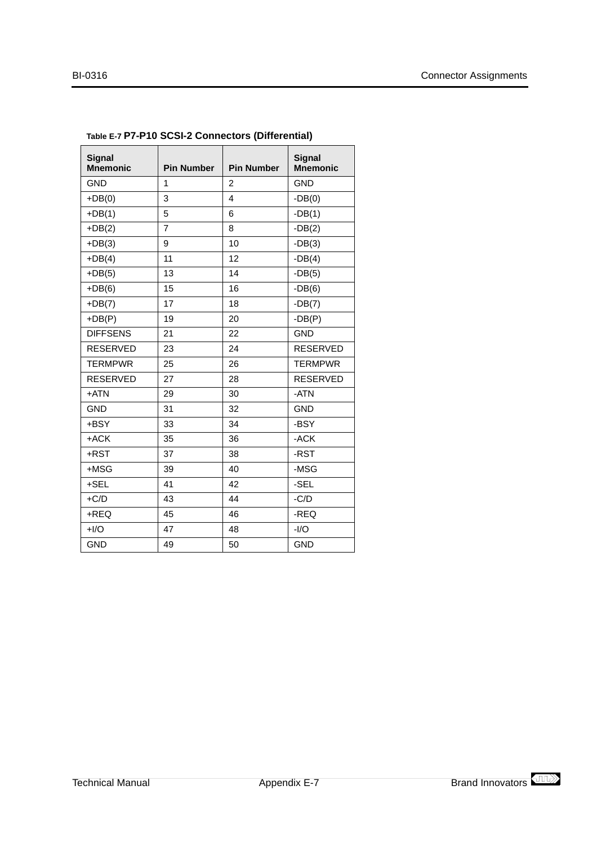| <b>Signal</b><br><b>Mnemonic</b> | <b>Pin Number</b> | <b>Pin Number</b>       | <b>Signal</b><br><b>Mnemonic</b> |
|----------------------------------|-------------------|-------------------------|----------------------------------|
| <b>GND</b>                       | 1                 | $\overline{2}$          | <b>GND</b>                       |
| $+DB(0)$                         | 3                 | $\overline{\mathbf{4}}$ | $-DB(0)$                         |
| $+DB(1)$                         | 5                 | 6                       | $-DB(1)$                         |
| $+DB(2)$                         | $\overline{7}$    | 8                       | $-DB(2)$                         |
| $+DB(3)$                         | 9                 | 10                      | $-DB(3)$                         |
| $+DB(4)$                         | 11                | 12                      | $-DB(4)$                         |
| $+DB(5)$                         | 13                | 14                      | $-DB(5)$                         |
| $+DB(6)$                         | 15                | 16                      | $-DB(6)$                         |
| $+DB(7)$                         | 17                | 18                      | $-DB(7)$                         |
| $+DB(P)$                         | 19                | 20                      | $-DB(P)$                         |
| <b>DIFFSENS</b>                  | 21                | 22                      | <b>GND</b>                       |
| <b>RESERVED</b>                  | 23                | 24                      | <b>RESERVED</b>                  |
| <b>TERMPWR</b>                   | 25                | 26                      | <b>TERMPWR</b>                   |
| <b>RESERVED</b>                  | 27                | 28                      | <b>RESERVED</b>                  |
| +ATN                             | 29                | 30                      | -ATN                             |
| <b>GND</b>                       | 31                | 32                      | <b>GND</b>                       |
| +BSY                             | 33                | 34                      | -BSY                             |
| +ACK                             | 35                | 36                      | -ACK                             |
| +RST                             | 37                | 38                      | -RST                             |
| $+MSG$                           | 39                | 40                      | -MSG                             |
| +SEL                             | 41                | 42                      | -SEL                             |
| $+C/D$                           | 43                | 44                      | $-C/D$                           |
| +REQ                             | 45                | 46                      | -REQ                             |
| $+I/O$                           | 47                | 48                      | $-I/O$                           |
| <b>GND</b>                       | 49                | 50                      | <b>GND</b>                       |

<span id="page-49-0"></span>

| Table E-7 P7-P10 SCSI-2 Connectors (Differential) |  |
|---------------------------------------------------|--|
|---------------------------------------------------|--|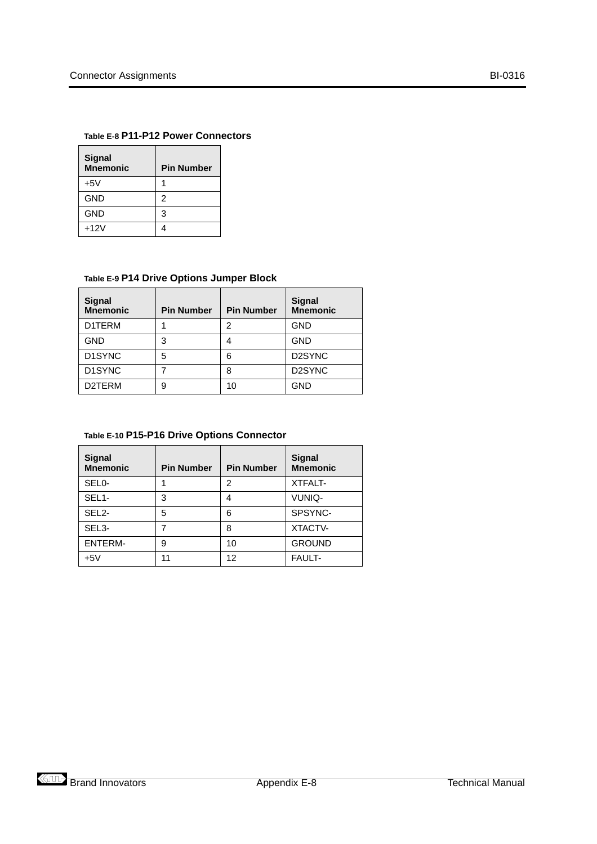#### <span id="page-50-0"></span>**Table E-8 P11-P12 Power Connectors**

| <b>Signal</b><br><b>Mnemonic</b> | <b>Pin Number</b> |
|----------------------------------|-------------------|
| $+5V$                            |                   |
| GND                              | 2                 |
| GND                              | 3                 |
| $+12V$                           |                   |

#### **Table E-9 P14 Drive Options Jumper Block**

| <b>Signal</b><br><b>Mnemonic</b> | <b>Pin Number</b> | <b>Pin Number</b> | <b>Signal</b><br><b>Mnemonic</b> |
|----------------------------------|-------------------|-------------------|----------------------------------|
| D1TERM                           |                   | 2                 | <b>GND</b>                       |
| <b>GND</b>                       | 3                 | 4                 | <b>GND</b>                       |
| D <sub>1</sub> SYNC              | 5                 | 6                 | D <sub>2</sub> SYNC              |
| D1SYNC                           |                   | 8                 | D <sub>2</sub> SYNC              |
| D2TERM                           | 9                 | 10                | <b>GND</b>                       |

#### **Table E-10 P15-P16 Drive Options Connector**

| Signal<br><b>Mnemonic</b> | <b>Pin Number</b> | <b>Pin Number</b> | <b>Signal</b><br><b>Mnemonic</b> |
|---------------------------|-------------------|-------------------|----------------------------------|
| SEL <sub>0</sub> -        |                   | 2                 | <b>XTFALT-</b>                   |
| SEL <sub>1</sub> -        | 3                 | 4                 | VUNIQ-                           |
| SEL <sub>2</sub> -        | 5                 | 6                 | SPSYNC-                          |
| SEL <sub>3</sub> -        | 7                 | 8                 | XTACTV-                          |
| <b>ENTERM-</b>            | 9                 | 10                | <b>GROUND</b>                    |
| $+5V$                     | 11                | 12                | <b>FAULT-</b>                    |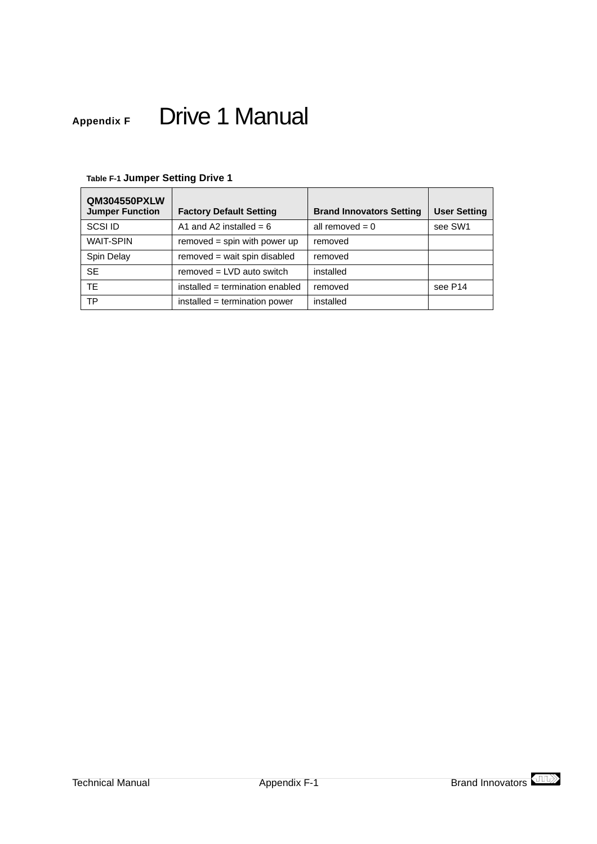# <span id="page-51-0"></span>**Appendix F** Drive 1 Manual

| <b>QM304550PXLW</b><br><b>Jumper Function</b> | <b>Factory Default Setting</b>  | <b>Brand Innovators Setting</b> | <b>User Setting</b> |
|-----------------------------------------------|---------------------------------|---------------------------------|---------------------|
| SCSI ID                                       | A1 and A2 installed = $6$       | all removed $= 0$               | see SW1             |
| <b>WAIT-SPIN</b>                              | $removed = spin with power up$  | removed                         |                     |
| Spin Delay                                    | removed = wait spin disabled    | removed                         |                     |
| <b>SE</b>                                     | $removed = LVD$ auto switch     | installed                       |                     |
| <b>TF</b>                                     | installed = termination enabled | removed                         | see P <sub>14</sub> |
| <b>TP</b>                                     | installed = termination power   | installed                       |                     |

## **Table F-1 Jumper Setting Drive 1**